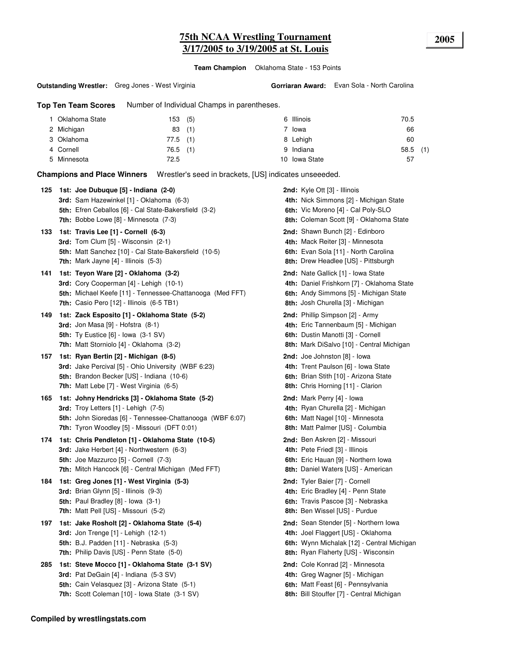# **75th NCAA Wrestling Tournament 2005 3/17/2005 to 3/19/2005 at St. Louis**

**Team Champion** Oklahoma State - 153 Points

#### **Outstanding Wrestler:** Greg Jones - West Virginia

**Gorriaran Award:** Evan Sola - North Carolina

**Top Ten Team Scores** Number of Individual Champs in parentheses.

| I Oklahoma State | 153 (5)    |     | 6 Illinois    | 70.5       |  |
|------------------|------------|-----|---------------|------------|--|
| 2 Michigan       | 83         | (1) | ' Iowa        | 66         |  |
| 3 Oklahoma       | $77.5$ (1) |     | 8 Lehigh      | 60         |  |
| 4 Cornell        | $76.5$ (1) |     | 9 Indiana     | $58.5$ (1) |  |
| 5 Minnesota      | 72.5       |     | 10 Iowa State | 57         |  |

**Champions and Place Winners** Wrestler's seed in brackets, [US] indicates unseeeded.

| 125 | 1st: Joe Dubuque [5] - Indiana (2-0)<br>3rd: Sam Hazewinkel [1] - Oklahoma (6-3)<br>5th: Efren Ceballos [6] - Cal State-Bakersfield (3-2)<br><b>7th:</b> Bobbe Lowe $[8]$ - Minnesota $(7-3)$         | 2nd: Kyle Ott [3] - Illinois<br>4th: Nick Simmons [2] - Michigan State<br>6th: Vic Moreno [4] - Cal Poly-SLO<br>8th: Coleman Scott [9] - Oklahoma State                 |
|-----|-------------------------------------------------------------------------------------------------------------------------------------------------------------------------------------------------------|-------------------------------------------------------------------------------------------------------------------------------------------------------------------------|
| 133 | 1st: Travis Lee [1] - Cornell (6-3)<br>3rd: Tom Clum [5] - Wisconsin (2-1)<br>5th: Matt Sanchez [10] - Cal State-Bakersfield (10-5)<br><b>7th:</b> Mark Jayne $[4]$ - Illinois $(5-3)$                | 2nd: Shawn Bunch [2] - Edinboro<br>4th: Mack Reiter [3] - Minnesota<br>6th: Evan Sola [11] - North Carolina<br><b>8th:</b> Drew Headlee [US] - Pittsburgh               |
| 141 | 1st: Teyon Ware [2] - Oklahoma (3-2)<br>3rd: Cory Cooperman [4] - Lehigh (10-1)<br>5th: Michael Keefe [11] - Tennessee-Chattanooga (Med FFT)<br><b>7th:</b> Casio Pero $[12]$ - Illinois $(6-5)$ TB1) | <b>2nd:</b> Nate Gallick [1] - Iowa State<br>4th: Daniel Frishkorn [7] - Oklahoma State<br>6th: Andy Simmons [5] - Michigan State<br>8th: Josh Churella [3] - Michigan  |
| 149 | 1st: Zack Esposito [1] - Oklahoma State (5-2)<br>3rd: Jon Masa $[9]$ - Hofstra $(8-1)$<br>5th: Ty Eustice $[6]$ - Iowa $(3-1)$ SV)<br>7th: Matt Storniolo [4] - Oklahoma (3-2)                        | 2nd: Phillip Simpson [2] - Army<br>4th: Eric Tannenbaum [5] - Michigan<br>6th: Dustin Manotti [3] - Cornell<br>8th: Mark DiSalvo [10] - Central Michigan                |
| 157 | 1st: Ryan Bertin [2] - Michigan (8-5)<br>3rd: Jake Percival [5] - Ohio University (WBF 6:23)<br>5th: Brandon Becker [US] - Indiana (10-6)<br>7th: Matt Lebe [7] - West Virginia (6-5)                 | 2nd: Joe Johnston [8] - lowa<br>4th: Trent Paulson [6] - Iowa State<br>6th: Brian Stith [10] - Arizona State<br><b>8th:</b> Chris Horning [11] - Clarion                |
| 165 | 1st: Johny Hendricks [3] - Oklahoma State (5-2)<br>3rd: Troy Letters [1] - Lehigh (7-5)<br>5th: John Sioredas [6] - Tennessee-Chattanooga (WBF 6:07)<br>7th: Tyron Woodley [5] - Missouri (DFT 0:01)  | 2nd: Mark Perry [4] - Iowa<br>4th: Ryan Churella [2] - Michigan<br>6th: Matt Nagel [10] - Minnesota<br>8th: Matt Palmer [US] - Columbia                                 |
| 174 | 1st: Chris Pendleton [1] - Oklahoma State (10-5)<br>3rd: Jake Herbert [4] - Northwestern (6-3)<br>5th: Joe Mazzurco [5] - Cornell (7-3)<br>7th: Mitch Hancock [6] - Central Michigan (Med FFT)        | 2nd: Ben Askren [2] - Missouri<br>4th: Pete Friedl [3] - Illinois<br>6th: Eric Hauan [9] - Northern Iowa<br>8th: Daniel Waters [US] - American                          |
| 184 | 1st: Greg Jones [1] - West Virginia (5-3)<br>3rd: Brian Glynn [5] - Illinois (9-3)<br><b>5th:</b> Paul Bradley $[8]$ - lowa $(3-1)$<br><b>7th:</b> Matt Pell [US] - Missouri (5-2)                    | 2nd: Tyler Baier [7] - Cornell<br>4th: Eric Bradley [4] - Penn State<br>6th: Travis Pascoe [3] - Nebraska<br>8th: Ben Wissel [US] - Purdue                              |
| 197 | 1st: Jake Rosholt [2] - Oklahoma State (5-4)<br><b>3rd:</b> Jon Trenge [1] - Lehigh (12-1)<br><b>5th:</b> B.J. Padden [11] - Nebraska (5-3)<br><b>7th:</b> Philip Davis [US] - Penn State (5-0)       | 2nd: Sean Stender [5] - Northern Iowa<br>4th: Joel Flaggert [US] - Oklahoma<br>6th: Wynn Michalak [12] - Central Michigan<br><b>8th:</b> Ryan Flaherty [US] - Wisconsin |
| 285 | 1st: Steve Mocco [1] - Oklahoma State (3-1 SV)<br>3rd: Pat DeGain [4] - Indiana (5-3 SV)<br>5th: Cain Velasquez [3] - Arizona State (5-1)<br>7th: Scott Coleman [10] - Iowa State (3-1 SV)            | <b>2nd:</b> Cole Konrad [2] - Minnesota<br>4th: Greg Wagner [5] - Michigan<br>6th: Matt Feast [6] - Pennsylvania<br>8th: Bill Stouffer [7] - Central Michigan           |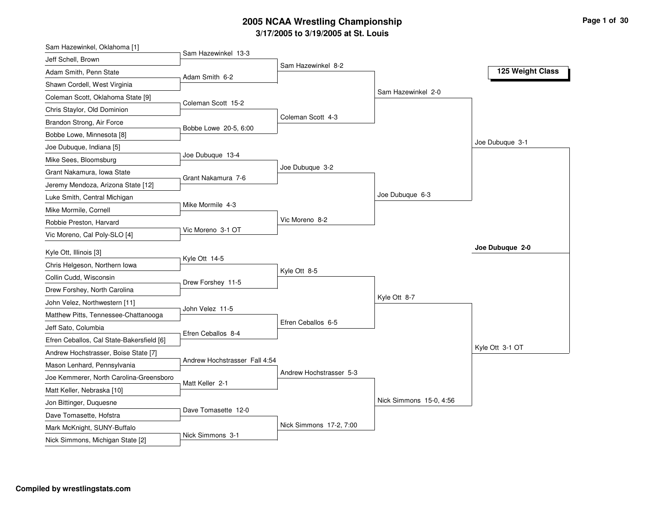| Sam Hazewinkel, Oklahoma [1]              |                               |                         |                         |                  |
|-------------------------------------------|-------------------------------|-------------------------|-------------------------|------------------|
| Jeff Schell, Brown                        | Sam Hazewinkel 13-3           |                         |                         |                  |
| Adam Smith, Penn State                    | Adam Smith 6-2                | Sam Hazewinkel 8-2      |                         | 125 Weight Class |
| Shawn Cordell, West Virginia              |                               |                         |                         |                  |
| Coleman Scott, Oklahoma State [9]         |                               |                         | Sam Hazewinkel 2-0      |                  |
| Chris Staylor, Old Dominion               | Coleman Scott 15-2            |                         |                         |                  |
| Brandon Strong, Air Force                 |                               | Coleman Scott 4-3       |                         |                  |
| Bobbe Lowe, Minnesota [8]                 | Bobbe Lowe 20-5, 6:00         |                         |                         |                  |
| Joe Dubuque, Indiana [5]                  |                               |                         |                         | Joe Dubuque 3-1  |
| Mike Sees, Bloomsburg                     | Joe Dubuque 13-4              |                         |                         |                  |
| Grant Nakamura, Iowa State                |                               | Joe Dubuque 3-2         |                         |                  |
| Jeremy Mendoza, Arizona State [12]        | Grant Nakamura 7-6            |                         |                         |                  |
| Luke Smith, Central Michigan              |                               |                         | Joe Dubuque 6-3         |                  |
| Mike Mormile, Cornell                     | Mike Mormile 4-3              |                         |                         |                  |
| Robbie Preston, Harvard                   |                               | Vic Moreno 8-2          |                         |                  |
| Vic Moreno, Cal Poly-SLO [4]              | Vic Moreno 3-1 OT             |                         |                         |                  |
| Kyle Ott, Illinois [3]                    |                               |                         |                         | Joe Dubuque 2-0  |
| Chris Helgeson, Northern Iowa             | Kyle Ott 14-5                 |                         |                         |                  |
| Collin Cudd, Wisconsin                    |                               | Kyle Ott 8-5            |                         |                  |
| Drew Forshey, North Carolina              | Drew Forshey 11-5             |                         |                         |                  |
| John Velez, Northwestern [11]             |                               |                         | Kyle Ott 8-7            |                  |
| Matthew Pitts, Tennessee-Chattanooga      | John Velez 11-5               |                         |                         |                  |
| Jeff Sato, Columbia                       |                               | Efren Ceballos 6-5      |                         |                  |
| Efren Ceballos, Cal State-Bakersfield [6] | Efren Ceballos 8-4            |                         |                         |                  |
| Andrew Hochstrasser, Boise State [7]      |                               |                         |                         | Kyle Ott 3-1 OT  |
| Mason Lenhard, Pennsylvania               | Andrew Hochstrasser Fall 4:54 |                         |                         |                  |
| Joe Kemmerer, North Carolina-Greensboro   |                               | Andrew Hochstrasser 5-3 |                         |                  |
| Matt Keller, Nebraska [10]                | Matt Keller 2-1               |                         |                         |                  |
| Jon Bittinger, Duquesne                   |                               |                         | Nick Simmons 15-0, 4:56 |                  |
| Dave Tomasette, Hofstra                   | Dave Tomasette 12-0           |                         |                         |                  |
| Mark McKnight, SUNY-Buffalo               |                               |                         |                         |                  |
|                                           |                               | Nick Simmons 17-2, 7:00 |                         |                  |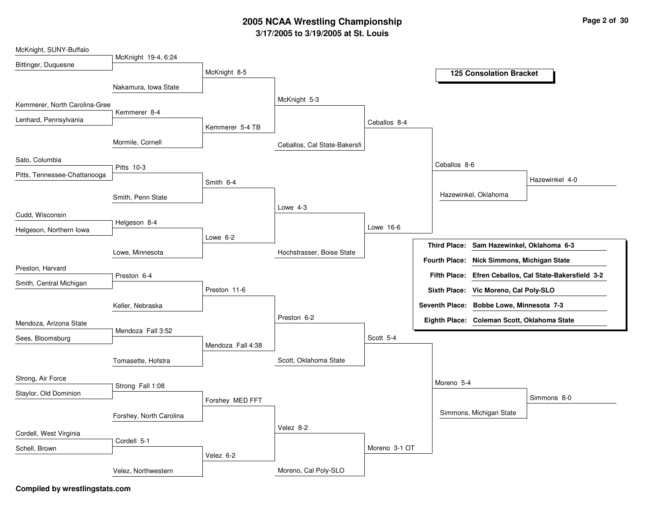| McKnight, SUNY-Buffalo        |                         |                   |                              |               |              |                                             |                                                        |
|-------------------------------|-------------------------|-------------------|------------------------------|---------------|--------------|---------------------------------------------|--------------------------------------------------------|
| Bittinger, Duquesne           | McKnight 19-4, 6:24     |                   |                              |               |              |                                             |                                                        |
|                               |                         | McKnight 8-5      |                              |               |              | <b>125 Consolation Bracket</b>              |                                                        |
|                               | Nakamura, Iowa State    |                   |                              |               |              |                                             |                                                        |
| Kemmerer, North Carolina-Gree |                         |                   | McKnight 5-3                 |               |              |                                             |                                                        |
| Lenhard, Pennsylvania         | Kemmerer 8-4            |                   |                              |               |              |                                             |                                                        |
|                               |                         | Kemmerer 5-4 TB   |                              | Ceballos 8-4  |              |                                             |                                                        |
|                               | Mormile, Cornell        |                   | Ceballos, Cal State-Bakersfi |               |              |                                             |                                                        |
| Sato, Columbia                | Pitts 10-3              |                   |                              |               | Ceballos 8-6 |                                             |                                                        |
| Pitts, Tennessee-Chattanooga  |                         | Smith 6-4         |                              |               |              |                                             | Hazewinkel 4-0                                         |
|                               | Smith, Penn State       |                   |                              |               |              | Hazewinkel, Oklahoma                        |                                                        |
| Cudd, Wisconsin               |                         |                   | Lowe 4-3                     |               |              |                                             |                                                        |
|                               | Helgeson 8-4            |                   |                              | Lowe 16-6     |              |                                             |                                                        |
| Helgeson, Northern Iowa       |                         | Lowe $6-2$        |                              |               |              |                                             |                                                        |
|                               | Lowe, Minnesota         |                   | Hochstrasser, Boise State    |               |              | Third Place: Sam Hazewinkel, Oklahoma 6-3   |                                                        |
| Preston, Harvard              |                         |                   |                              |               |              | Fourth Place: Nick Simmons, Michigan State  |                                                        |
|                               | Preston 6-4             |                   |                              |               |              |                                             | Fifth Place: Efren Ceballos, Cal State-Bakersfield 3-2 |
| Smith, Central Michigan       |                         | Preston 11-6      |                              |               |              | Sixth Place: Vic Moreno, Cal Poly-SLO       |                                                        |
|                               | Keller, Nebraska        |                   |                              |               |              | Seventh Place: Bobbe Lowe, Minnesota 7-3    |                                                        |
|                               |                         |                   | Preston 6-2                  |               |              | Eighth Place: Coleman Scott, Oklahoma State |                                                        |
| Mendoza, Arizona State        | Mendoza Fall 3:52       |                   |                              |               |              |                                             |                                                        |
| Sees, Bloomsburg              |                         | Mendoza Fall 4:38 |                              | Scott 5-4     |              |                                             |                                                        |
|                               | Tomasette, Hofstra      |                   | Scott, Oklahoma State        |               |              |                                             |                                                        |
|                               |                         |                   |                              |               |              |                                             |                                                        |
| Strong, Air Force             | Strong Fall 1:08        |                   |                              |               | Moreno 5-4   |                                             |                                                        |
| Staylor, Old Dominion         |                         | Forshey MED FFT   |                              |               |              |                                             | Simmons 8-0                                            |
|                               |                         |                   |                              |               |              | Simmons, Michigan State                     |                                                        |
|                               | Forshey, North Carolina |                   | Velez 8-2                    |               |              |                                             |                                                        |
| Cordell, West Virginia        | Cordell 5-1             |                   |                              |               |              |                                             |                                                        |
| Schell, Brown                 |                         |                   |                              | Moreno 3-1 OT |              |                                             |                                                        |
|                               |                         | Velez 6-2         |                              |               |              |                                             |                                                        |
|                               | Velez, Northwestern     |                   | Moreno, Cal Poly-SLO         |               |              |                                             |                                                        |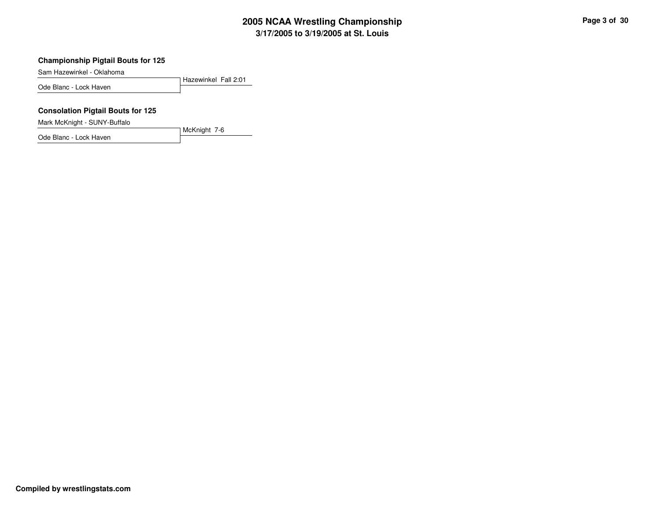**Championship Pigtail Bouts for 125**

Sam Hazewinkel - Oklahoma

Hazewinkel Fall 2:01Ode Blanc - Lock Haven

#### **Consolation Pigtail Bouts for 125**

Mark McKnight - SUNY-Buffalo

Ode Blanc - Lock Haven

McKnight 7-6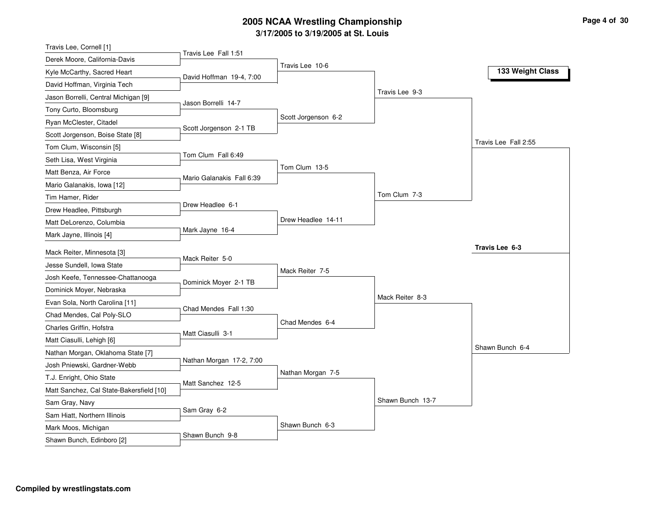| Travis Lee, Cornell [1]                             |                           |                     |                  |                      |
|-----------------------------------------------------|---------------------------|---------------------|------------------|----------------------|
| Derek Moore, California-Davis                       | Travis Lee Fall 1:51      |                     |                  |                      |
| Kyle McCarthy, Sacred Heart                         | David Hoffman 19-4, 7:00  | Travis Lee 10-6     |                  | 133 Weight Class     |
| David Hoffman, Virginia Tech                        |                           |                     |                  |                      |
| Jason Borrelli, Central Michigan [9]                |                           |                     | Travis Lee 9-3   |                      |
| Tony Curto, Bloomsburg                              | Jason Borrelli 14-7       |                     |                  |                      |
| Ryan McClester, Citadel                             |                           | Scott Jorgenson 6-2 |                  |                      |
| Scott Jorgenson, Boise State [8]                    | Scott Jorgenson 2-1 TB    |                     |                  |                      |
| Tom Clum, Wisconsin [5]                             |                           |                     |                  | Travis Lee Fall 2:55 |
| Seth Lisa, West Virginia                            | Tom Clum Fall 6:49        |                     |                  |                      |
| Matt Benza, Air Force                               | Mario Galanakis Fall 6:39 | Tom Clum 13-5       |                  |                      |
| Mario Galanakis, Iowa [12]                          |                           |                     |                  |                      |
| Tim Hamer, Rider                                    |                           |                     | Tom Clum 7-3     |                      |
| Drew Headlee, Pittsburgh                            | Drew Headlee 6-1          |                     |                  |                      |
| Matt DeLorenzo, Columbia                            |                           | Drew Headlee 14-11  |                  |                      |
| Mark Jayne, Illinois [4]                            | Mark Jayne 16-4           |                     |                  |                      |
|                                                     |                           |                     |                  | Travis Lee 6-3       |
|                                                     |                           |                     |                  |                      |
| Mack Reiter, Minnesota [3]                          | Mack Reiter 5-0           |                     |                  |                      |
| Jesse Sundell, Iowa State                           |                           | Mack Reiter 7-5     |                  |                      |
| Josh Keefe, Tennessee-Chattanooga                   | Dominick Moyer 2-1 TB     |                     |                  |                      |
| Dominick Moyer, Nebraska                            |                           |                     | Mack Reiter 8-3  |                      |
| Evan Sola, North Carolina [11]                      | Chad Mendes Fall 1:30     |                     |                  |                      |
| Chad Mendes, Cal Poly-SLO                           |                           | Chad Mendes 6-4     |                  |                      |
| Charles Griffin, Hofstra                            | Matt Ciasulli 3-1         |                     |                  |                      |
| Matt Ciasulli, Lehigh [6]                           |                           |                     |                  | Shawn Bunch 6-4      |
| Nathan Morgan, Oklahoma State [7]                   | Nathan Morgan 17-2, 7:00  |                     |                  |                      |
| Josh Pniewski, Gardner-Webb                         |                           | Nathan Morgan 7-5   |                  |                      |
| T.J. Enright, Ohio State                            | Matt Sanchez 12-5         |                     |                  |                      |
| Matt Sanchez, Cal State-Bakersfield [10]            |                           |                     | Shawn Bunch 13-7 |                      |
| Sam Gray, Navy                                      | Sam Gray 6-2              |                     |                  |                      |
| Sam Hiatt, Northern Illinois<br>Mark Moos, Michigan |                           | Shawn Bunch 6-3     |                  |                      |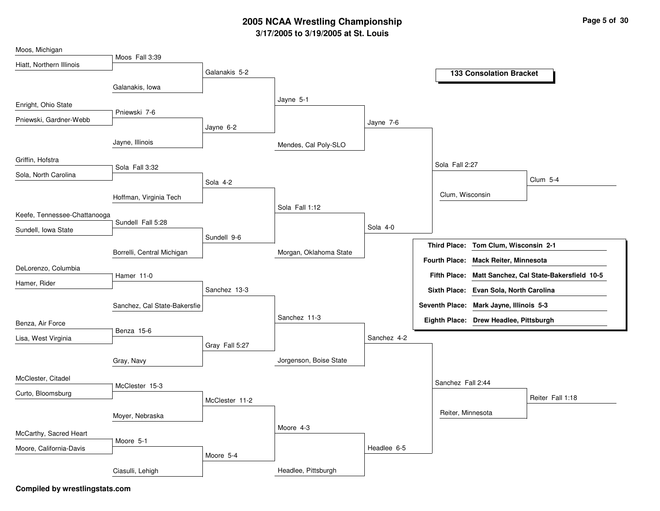| Moos, Michigan               |                              |                |                        |             |                      |                                         |                                          |
|------------------------------|------------------------------|----------------|------------------------|-------------|----------------------|-----------------------------------------|------------------------------------------|
| Hiatt, Northern Illinois     | Moos Fall 3:39               |                |                        |             |                      |                                         |                                          |
|                              |                              | Galanakis 5-2  |                        |             |                      | <b>133 Consolation Bracket</b>          |                                          |
|                              | Galanakis, Iowa              |                |                        |             |                      |                                         |                                          |
| Enright, Ohio State          |                              |                | Jayne 5-1              |             |                      |                                         |                                          |
| Pniewski, Gardner-Webb       | Pniewski 7-6                 |                |                        | Jayne 7-6   |                      |                                         |                                          |
|                              |                              | Jayne 6-2      |                        |             |                      |                                         |                                          |
|                              | Jayne, Illinois              |                | Mendes, Cal Poly-SLO   |             |                      |                                         |                                          |
| Griffin, Hofstra             |                              |                |                        |             | Sola Fall 2:27       |                                         |                                          |
| Sola, North Carolina         | Sola Fall 3:32               |                |                        |             |                      |                                         |                                          |
|                              |                              | Sola 4-2       |                        |             |                      |                                         | <b>Clum 5-4</b>                          |
|                              | Hoffman, Virginia Tech       |                |                        |             | Clum, Wisconsin      |                                         |                                          |
| Keefe, Tennessee-Chattanooga |                              |                | Sola Fall 1:12         |             |                      |                                         |                                          |
| Sundell, Iowa State          | Sundell Fall 5:28            |                |                        | Sola 4-0    |                      |                                         |                                          |
|                              |                              | Sundell 9-6    |                        |             |                      | Third Place: Tom Clum, Wisconsin 2-1    |                                          |
|                              | Borrelli, Central Michigan   |                | Morgan, Oklahoma State |             |                      |                                         |                                          |
| DeLorenzo, Columbia          |                              |                |                        |             | <b>Fourth Place:</b> | Mack Reiter, Minnesota                  |                                          |
| Hamer, Rider                 | Hamer 11-0                   |                |                        |             | <b>Fifth Place:</b>  |                                         | Matt Sanchez, Cal State-Bakersfield 10-5 |
|                              |                              | Sanchez 13-3   |                        |             |                      | Sixth Place: Evan Sola, North Carolina  |                                          |
|                              | Sanchez, Cal State-Bakersfie |                |                        |             |                      | Seventh Place: Mark Jayne, Illinois 5-3 |                                          |
| Benza, Air Force             |                              |                | Sanchez 11-3           |             |                      | Eighth Place: Drew Headlee, Pittsburgh  |                                          |
| Lisa, West Virginia          | Benza 15-6                   |                |                        | Sanchez 4-2 |                      |                                         |                                          |
|                              |                              | Gray Fall 5:27 |                        |             |                      |                                         |                                          |
|                              | Gray, Navy                   |                | Jorgenson, Boise State |             |                      |                                         |                                          |
| McClester, Citadel           |                              |                |                        |             |                      |                                         |                                          |
|                              | McClester 15-3               |                |                        |             | Sanchez Fall 2:44    |                                         |                                          |
| Curto, Bloomsburg            |                              | McClester 11-2 |                        |             |                      |                                         | Reiter Fall 1:18                         |
|                              | Moyer, Nebraska              |                |                        |             | Reiter, Minnesota    |                                         |                                          |
|                              |                              |                | Moore 4-3              |             |                      |                                         |                                          |
| McCarthy, Sacred Heart       | Moore 5-1                    |                |                        |             |                      |                                         |                                          |
| Moore, California-Davis      |                              | Moore 5-4      |                        | Headlee 6-5 |                      |                                         |                                          |
|                              | Ciasulli, Lehigh             |                | Headlee, Pittsburgh    |             |                      |                                         |                                          |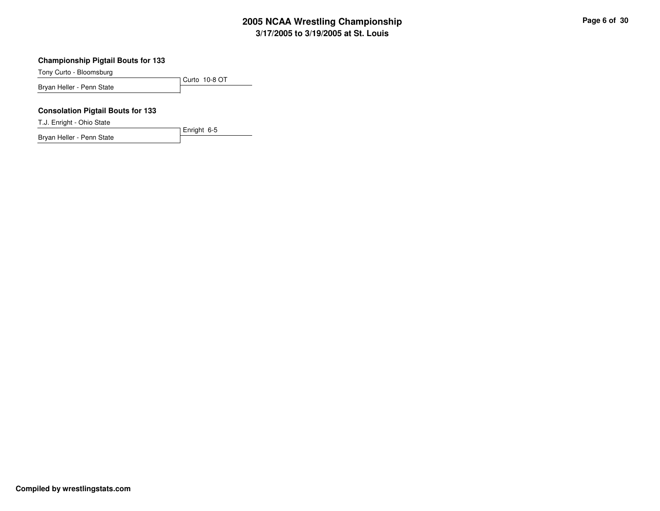#### **Championship Pigtail Bouts for 133**

Tony Curto - Bloomsburg

Curto 10-8 OTBryan Heller - Penn State

Enright 6-5

#### **Consolation Pigtail Bouts for 133**

T.J. Enright - Ohio State

Bryan Heller - Penn State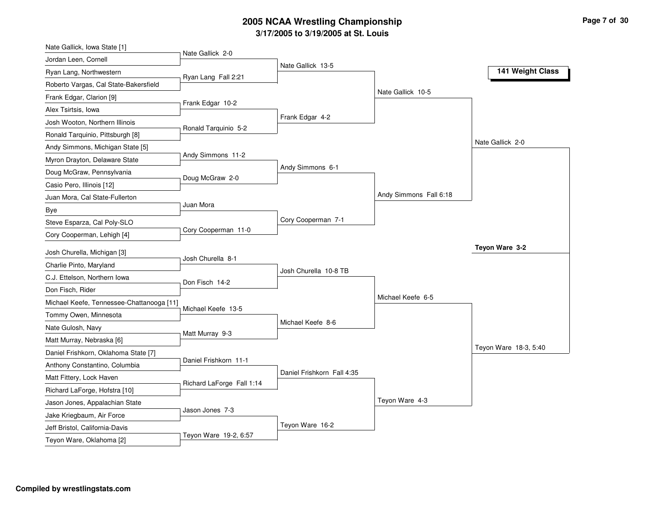| Nate Gallick, Iowa State [1]              |                           |                            |                        |                       |
|-------------------------------------------|---------------------------|----------------------------|------------------------|-----------------------|
| Jordan Leen, Cornell                      | Nate Gallick 2-0          | Nate Gallick 13-5          |                        |                       |
| Ryan Lang, Northwestern                   | Ryan Lang Fall 2:21       |                            |                        | 141 Weight Class      |
| Roberto Vargas, Cal State-Bakersfield     |                           |                            |                        |                       |
| Frank Edgar, Clarion [9]                  |                           |                            | Nate Gallick 10-5      |                       |
| Alex Tsirtsis, Iowa                       | Frank Edgar 10-2          |                            |                        |                       |
| Josh Wooton, Northern Illinois            |                           | Frank Edgar 4-2            |                        |                       |
| Ronald Tarquinio, Pittsburgh [8]          | Ronald Tarquinio 5-2      |                            |                        |                       |
| Andy Simmons, Michigan State [5]          |                           |                            |                        | Nate Gallick 2-0      |
| Myron Drayton, Delaware State             | Andy Simmons 11-2         |                            |                        |                       |
| Doug McGraw, Pennsylvania                 | Doug McGraw 2-0           | Andy Simmons 6-1           |                        |                       |
| Casio Pero, Illinois [12]                 |                           |                            |                        |                       |
| Juan Mora, Cal State-Fullerton            |                           |                            | Andy Simmons Fall 6:18 |                       |
| Bye                                       | Juan Mora                 |                            |                        |                       |
| Steve Esparza, Cal Poly-SLO               |                           | Cory Cooperman 7-1         |                        |                       |
| Cory Cooperman, Lehigh [4]                | Cory Cooperman 11-0       |                            |                        |                       |
| Josh Churella, Michigan [3]               |                           |                            |                        | Teyon Ware 3-2        |
| Charlie Pinto, Maryland                   | Josh Churella 8-1         |                            |                        |                       |
| C.J. Ettelson, Northern Iowa              |                           | Josh Churella 10-8 TB      |                        |                       |
| Don Fisch, Rider                          | Don Fisch 14-2            |                            |                        |                       |
| Michael Keefe, Tennessee-Chattanooga [11] |                           |                            | Michael Keefe 6-5      |                       |
| Tommy Owen, Minnesota                     | Michael Keefe 13-5        |                            |                        |                       |
| Nate Gulosh, Navy                         |                           | Michael Keefe 8-6          |                        |                       |
| Matt Murray, Nebraska [6]                 | Matt Murray 9-3           |                            |                        |                       |
| Daniel Frishkorn, Oklahoma State [7]      |                           |                            |                        | Teyon Ware 18-3, 5:40 |
| Anthony Constantino, Columbia             | Daniel Frishkorn 11-1     |                            |                        |                       |
| Matt Fittery, Lock Haven                  |                           | Daniel Frishkorn Fall 4:35 |                        |                       |
| Richard LaForge, Hofstra [10]             | Richard LaForge Fall 1:14 |                            |                        |                       |
| Jason Jones, Appalachian State            |                           |                            | Teyon Ware 4-3         |                       |
| Jake Kriegbaum, Air Force                 | Jason Jones 7-3           |                            |                        |                       |
| Jeff Bristol, California-Davis            |                           | Teyon Ware 16-2            |                        |                       |
| Teyon Ware, Oklahoma [2]                  | Teyon Ware 19-2, 6:57     |                            |                        |                       |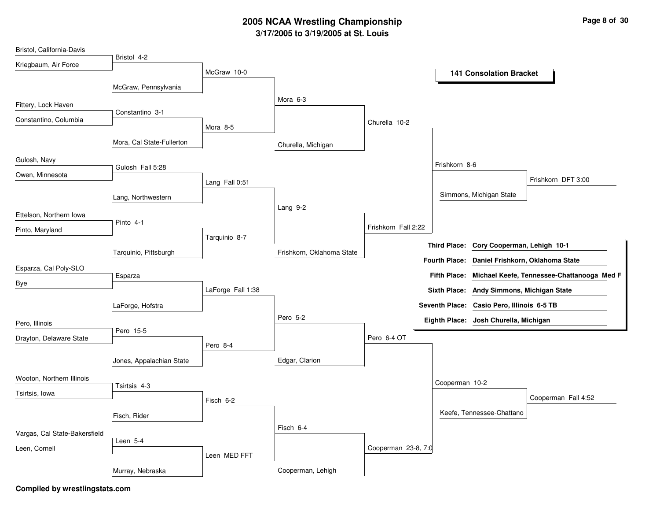| Bristol, California-Davis     |                           |                   |                           |                     |  |                      |                                            |                                            |
|-------------------------------|---------------------------|-------------------|---------------------------|---------------------|--|----------------------|--------------------------------------------|--------------------------------------------|
| Kriegbaum, Air Force          | Bristol 4-2               |                   |                           |                     |  |                      |                                            |                                            |
|                               |                           | McGraw 10-0       |                           |                     |  |                      | <b>141 Consolation Bracket</b>             |                                            |
|                               | McGraw, Pennsylvania      |                   |                           |                     |  |                      |                                            |                                            |
| Fittery, Lock Haven           |                           |                   | Mora 6-3                  |                     |  |                      |                                            |                                            |
| Constantino, Columbia         | Constantino 3-1           |                   |                           | Churella 10-2       |  |                      |                                            |                                            |
|                               |                           | Mora 8-5          |                           |                     |  |                      |                                            |                                            |
|                               | Mora, Cal State-Fullerton |                   | Churella, Michigan        |                     |  |                      |                                            |                                            |
| Gulosh, Navy                  |                           |                   |                           |                     |  |                      |                                            |                                            |
| Owen, Minnesota               | Gulosh Fall 5:28          |                   |                           |                     |  | Frishkorn 8-6        |                                            |                                            |
|                               |                           | Lang Fall 0:51    |                           |                     |  |                      |                                            | Frishkorn DFT 3:00                         |
|                               | Lang, Northwestern        |                   |                           |                     |  |                      | Simmons, Michigan State                    |                                            |
| Ettelson, Northern Iowa       |                           |                   | Lang 9-2                  |                     |  |                      |                                            |                                            |
| Pinto, Maryland               | Pinto 4-1                 |                   |                           | Frishkorn Fall 2:22 |  |                      |                                            |                                            |
|                               |                           | Tarquinio 8-7     |                           |                     |  |                      | Cory Cooperman, Lehigh 10-1                |                                            |
|                               | Tarquinio, Pittsburgh     |                   | Frishkorn, Oklahoma State |                     |  | <b>Third Place:</b>  |                                            |                                            |
| Esparza, Cal Poly-SLO         |                           |                   |                           |                     |  | <b>Fourth Place:</b> | Daniel Frishkorn, Oklahoma State           |                                            |
| Bye                           | Esparza                   |                   |                           |                     |  | <b>Fifth Place:</b>  |                                            | Michael Keefe, Tennessee-Chattanooga Med F |
|                               |                           | LaForge Fall 1:38 |                           |                     |  |                      | Sixth Place: Andy Simmons, Michigan State  |                                            |
|                               | LaForge, Hofstra          |                   |                           |                     |  |                      | Seventh Place: Casio Pero, Illinois 6-5 TB |                                            |
| Pero, Illinois                |                           |                   | Pero 5-2                  |                     |  |                      | Eighth Place: Josh Churella, Michigan      |                                            |
| Drayton, Delaware State       | Pero 15-5                 |                   |                           | Pero 6-4 OT         |  |                      |                                            |                                            |
|                               |                           | Pero 8-4          |                           |                     |  |                      |                                            |                                            |
|                               | Jones, Appalachian State  |                   | Edgar, Clarion            |                     |  |                      |                                            |                                            |
| Wooton, Northern Illinois     |                           |                   |                           |                     |  |                      |                                            |                                            |
| Tsirtsis, Iowa                | Tsirtsis 4-3              |                   |                           |                     |  | Cooperman 10-2       |                                            |                                            |
|                               |                           | Fisch 6-2         |                           |                     |  |                      |                                            | Cooperman Fall 4:52                        |
|                               | Fisch, Rider              |                   |                           |                     |  |                      | Keefe, Tennessee-Chattano                  |                                            |
| Vargas, Cal State-Bakersfield |                           |                   | Fisch 6-4                 |                     |  |                      |                                            |                                            |
|                               | Leen 5-4                  |                   |                           |                     |  |                      |                                            |                                            |
| Leen, Cornell                 |                           | Leen MED FFT      | Cooperman 23-8, 7:0       |                     |  |                      |                                            |                                            |
|                               | Murray, Nebraska          |                   | Cooperman, Lehigh         |                     |  |                      |                                            |                                            |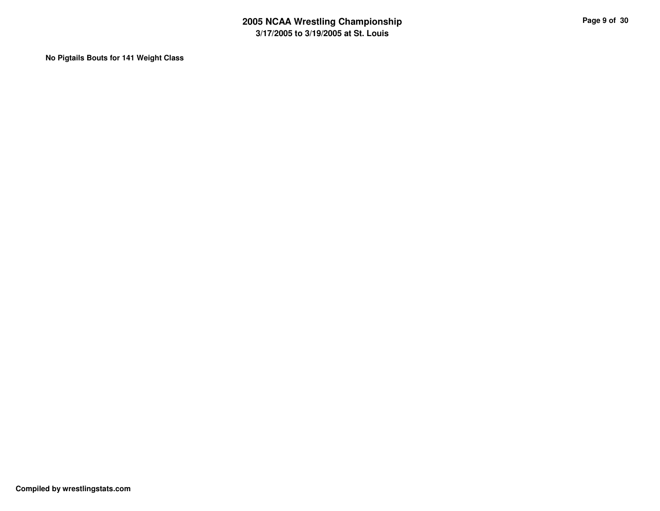**No Pigtails Bouts for 141 Weight Class**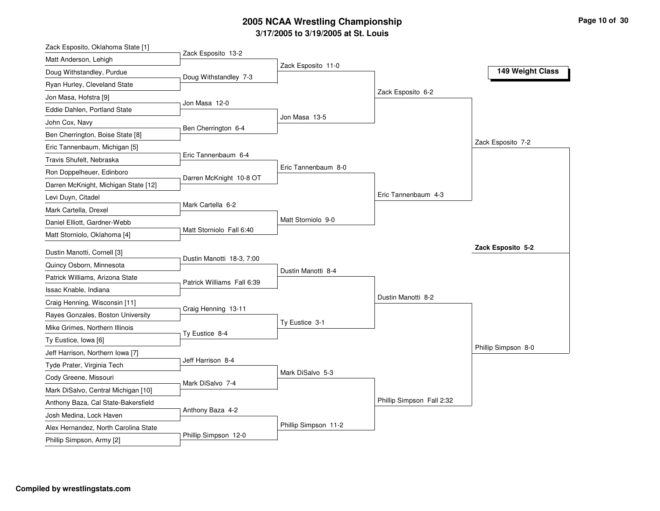| Zack Esposito, Oklahoma State [1]                       |                            |                      |                           |                     |
|---------------------------------------------------------|----------------------------|----------------------|---------------------------|---------------------|
| Matt Anderson, Lehigh                                   | Zack Esposito 13-2         |                      |                           |                     |
| Doug Withstandley, Purdue                               | Doug Withstandley 7-3      | Zack Esposito 11-0   |                           | 149 Weight Class    |
| Ryan Hurley, Cleveland State                            |                            |                      |                           |                     |
| Jon Masa, Hofstra [9]                                   |                            |                      | Zack Esposito 6-2         |                     |
| Eddie Dahlen, Portland State                            | Jon Masa 12-0              |                      |                           |                     |
| John Cox, Navy                                          |                            | Jon Masa 13-5        |                           |                     |
| Ben Cherrington, Boise State [8]                        | Ben Cherrington 6-4        |                      |                           |                     |
| Eric Tannenbaum, Michigan [5]                           |                            |                      |                           | Zack Esposito 7-2   |
| Travis Shufelt, Nebraska                                | Eric Tannenbaum 6-4        |                      |                           |                     |
| Ron Doppelheuer, Edinboro                               |                            | Eric Tannenbaum 8-0  |                           |                     |
| Darren McKnight, Michigan State [12]                    | Darren McKnight 10-8 OT    |                      |                           |                     |
| Levi Duyn, Citadel                                      |                            |                      | Eric Tannenbaum 4-3       |                     |
| Mark Cartella, Drexel                                   | Mark Cartella 6-2          |                      |                           |                     |
| Daniel Elliott, Gardner-Webb                            |                            | Matt Storniolo 9-0   |                           |                     |
| Matt Storniolo, Oklahoma [4]                            | Matt Storniolo Fall 6:40   |                      |                           |                     |
|                                                         |                            |                      |                           | Zack Esposito 5-2   |
| Dustin Manotti, Cornell [3]<br>Quincy Osborn, Minnesota | Dustin Manotti 18-3, 7:00  |                      |                           |                     |
| Patrick Williams, Arizona State                         |                            | Dustin Manotti 8-4   |                           |                     |
|                                                         | Patrick Williams Fall 6:39 |                      |                           |                     |
| Issac Knable, Indiana                                   |                            |                      | Dustin Manotti 8-2        |                     |
| Craig Henning, Wisconsin [11]                           | Craig Henning 13-11        |                      |                           |                     |
| Rayes Gonzales, Boston University                       |                            | Ty Eustice 3-1       |                           |                     |
| Mike Grimes, Northern Illinois                          | Ty Eustice 8-4             |                      |                           |                     |
| Ty Eustice, Iowa [6]                                    |                            |                      |                           | Phillip Simpson 8-0 |
| Jeff Harrison, Northern Iowa [7]                        | Jeff Harrison 8-4          |                      |                           |                     |
| Tyde Prater, Virginia Tech                              |                            | Mark DiSalvo 5-3     |                           |                     |
| Cody Greene, Missouri                                   | Mark DiSalvo 7-4           |                      |                           |                     |
| Mark DiSalvo, Central Michigan [10]                     |                            |                      | Phillip Simpson Fall 2:32 |                     |
| Anthony Baza, Cal State-Bakersfield                     | Anthony Baza 4-2           |                      |                           |                     |
| Josh Medina, Lock Haven                                 |                            | Phillip Simpson 11-2 |                           |                     |
| Alex Hernandez, North Carolina State                    | Phillip Simpson 12-0       |                      |                           |                     |
| Phillip Simpson, Army [2]                               |                            |                      |                           |                     |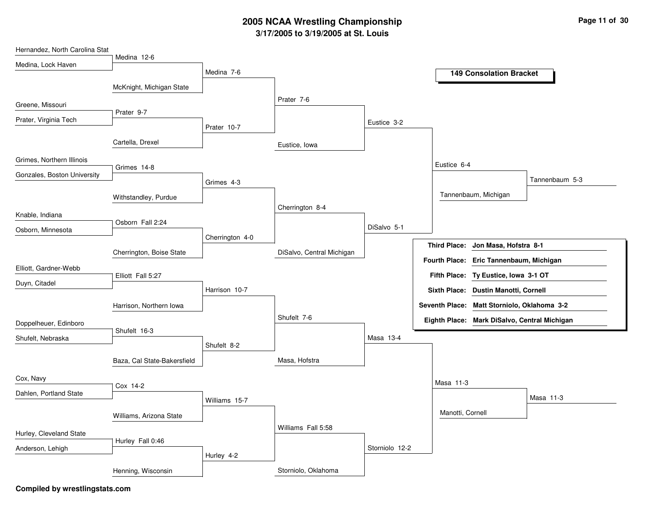| Hernandez, North Carolina Stat |                             |                 |                           |                |                     |                                              |                |
|--------------------------------|-----------------------------|-----------------|---------------------------|----------------|---------------------|----------------------------------------------|----------------|
| Medina, Lock Haven             | Medina 12-6                 |                 |                           |                |                     |                                              |                |
|                                |                             | Medina 7-6      |                           |                |                     | <b>149 Consolation Bracket</b>               |                |
|                                | McKnight, Michigan State    |                 |                           |                |                     |                                              |                |
| Greene, Missouri               |                             |                 | Prater 7-6                |                |                     |                                              |                |
| Prater, Virginia Tech          | Prater 9-7                  |                 |                           |                |                     |                                              |                |
|                                |                             | Prater 10-7     |                           | Eustice 3-2    |                     |                                              |                |
|                                | Cartella, Drexel            |                 | Eustice, Iowa             |                |                     |                                              |                |
| Grimes, Northern Illinois      | Grimes 14-8                 |                 |                           |                | Eustice 6-4         |                                              |                |
| Gonzales, Boston University    |                             |                 |                           |                |                     |                                              | Tannenbaum 5-3 |
|                                |                             | Grimes 4-3      |                           |                |                     |                                              |                |
|                                | Withstandley, Purdue        |                 | Cherrington 8-4           |                |                     | Tannenbaum, Michigan                         |                |
| Knable, Indiana                |                             |                 |                           |                |                     |                                              |                |
| Osborn, Minnesota              | Osborn Fall 2:24            |                 |                           | DiSalvo 5-1    |                     |                                              |                |
|                                |                             | Cherrington 4-0 |                           |                | <b>Third Place:</b> | Jon Masa, Hofstra 8-1                        |                |
|                                | Cherrington, Boise State    |                 | DiSalvo, Central Michigan |                |                     |                                              |                |
| Elliott, Gardner-Webb          |                             |                 |                           |                |                     | Fourth Place: Eric Tannenbaum, Michigan      |                |
| Duyn, Citadel                  | Elliott Fall 5:27           |                 |                           |                |                     | Fifth Place: Ty Eustice, Iowa 3-1 OT         |                |
|                                |                             | Harrison 10-7   |                           |                |                     | Sixth Place: Dustin Manotti, Cornell         |                |
|                                | Harrison, Northern Iowa     |                 |                           |                |                     | Seventh Place: Matt Storniolo, Oklahoma 3-2  |                |
| Doppelheuer, Edinboro          |                             |                 | Shufelt 7-6               |                |                     | Eighth Place: Mark DiSalvo, Central Michigan |                |
| Shufelt, Nebraska              | Shufelt 16-3                |                 |                           | Masa 13-4      |                     |                                              |                |
|                                |                             | Shufelt 8-2     |                           |                |                     |                                              |                |
|                                | Baza, Cal State-Bakersfield |                 | Masa, Hofstra             |                |                     |                                              |                |
| Cox, Navy                      |                             |                 |                           |                | Masa 11-3           |                                              |                |
| Dahlen, Portland State         | Cox 14-2                    |                 |                           |                |                     |                                              |                |
|                                |                             | Williams 15-7   |                           |                |                     |                                              | Masa 11-3      |
|                                | Williams, Arizona State     |                 |                           |                | Manotti, Cornell    |                                              |                |
| Hurley, Cleveland State        |                             |                 | Williams Fall 5:58        |                |                     |                                              |                |
|                                | Hurley Fall 0:46            |                 |                           | Storniolo 12-2 |                     |                                              |                |
| Anderson, Lehigh               |                             | Hurley 4-2      |                           |                |                     |                                              |                |
|                                | Henning, Wisconsin          |                 | Storniolo, Oklahoma       |                |                     |                                              |                |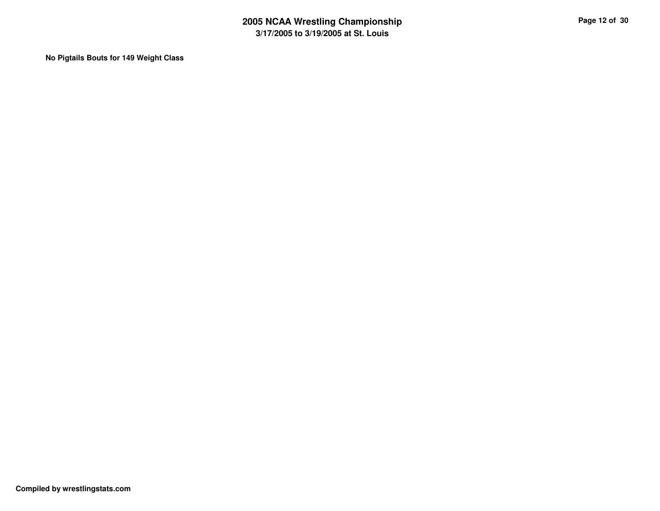**No Pigtails Bouts for 149 Weight Class**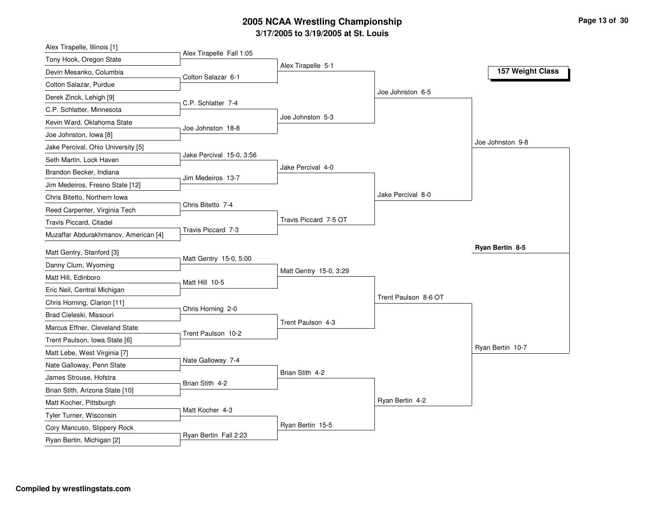| Alex Tirapelle Fall 1:05<br>Tony Hook, Oregon State<br>Alex Tirapelle 5-1<br>157 Weight Class<br>Devin Mesanko, Columbia<br>Colton Salazar 6-1<br>Colton Salazar, Purdue<br>Joe Johnston 6-5<br>Derek Zinck, Lehigh [9]<br>C.P. Schlatter 7-4<br>C.P. Schlatter, Minnesota<br>Joe Johnston 5-3<br>Kevin Ward, Oklahoma State<br>Joe Johnston 18-8<br>Joe Johnston, Iowa [8]<br>Joe Johnston 9-8<br>Jake Percival, Ohio University [5]<br>Jake Percival 15-0, 3:56<br>Seth Martin, Lock Haven<br>Jake Percival 4-0<br>Brandon Becker, Indiana<br>Jim Medeiros 13-7<br>Jim Medeiros, Fresno State [12]<br>Jake Percival 8-0<br>Chris Bitetto, Northern Iowa<br>Chris Bitetto 7-4<br>Reed Carpenter, Virginia Tech<br>Travis Piccard 7-5 OT<br>Travis Piccard, Citadel<br>Travis Piccard 7-3<br>Muzaffar Abdurakhmanov, American [4]<br>Ryan Bertin 8-5<br>Matt Gentry, Stanford [3]<br>Matt Gentry 15-0, 5:00<br>Danny Clum, Wyoming<br>Matt Gentry 15-0, 3:29<br>Matt Hill, Edinboro<br>Matt Hill 10-5<br>Eric Neil, Central Michigan<br>Trent Paulson 8-6 OT<br>Chris Horning, Clarion [11]<br>Chris Horning 2-0<br>Brad Cieleski, Missouri<br>Trent Paulson 4-3<br>Marcus Effner, Cleveland State<br>Trent Paulson 10-2<br>Trent Paulson, Iowa State [6]<br>Ryan Bertin 10-7<br>Matt Lebe, West Virginia [7]<br>Nate Galloway 7-4<br>Nate Galloway, Penn State<br>Brian Stith 4-2<br>James Strouse, Hofstra<br>Brian Stith 4-2<br>Brian Stith, Arizona State [10]<br>Ryan Bertin 4-2<br>Matt Kocher, Pittsburgh<br>Matt Kocher 4-3<br>Tyler Turner, Wisconsin<br>Ryan Bertin 15-5<br>Cory Mancuso, Slippery Rock<br>Ryan Bertin Fall 2:23 | Alex Tirapelle, Illinois [1] |  |  |
|--------------------------------------------------------------------------------------------------------------------------------------------------------------------------------------------------------------------------------------------------------------------------------------------------------------------------------------------------------------------------------------------------------------------------------------------------------------------------------------------------------------------------------------------------------------------------------------------------------------------------------------------------------------------------------------------------------------------------------------------------------------------------------------------------------------------------------------------------------------------------------------------------------------------------------------------------------------------------------------------------------------------------------------------------------------------------------------------------------------------------------------------------------------------------------------------------------------------------------------------------------------------------------------------------------------------------------------------------------------------------------------------------------------------------------------------------------------------------------------------------------------------------------------------------------------------------------------------------------------------------------------------|------------------------------|--|--|
|                                                                                                                                                                                                                                                                                                                                                                                                                                                                                                                                                                                                                                                                                                                                                                                                                                                                                                                                                                                                                                                                                                                                                                                                                                                                                                                                                                                                                                                                                                                                                                                                                                            |                              |  |  |
|                                                                                                                                                                                                                                                                                                                                                                                                                                                                                                                                                                                                                                                                                                                                                                                                                                                                                                                                                                                                                                                                                                                                                                                                                                                                                                                                                                                                                                                                                                                                                                                                                                            |                              |  |  |
|                                                                                                                                                                                                                                                                                                                                                                                                                                                                                                                                                                                                                                                                                                                                                                                                                                                                                                                                                                                                                                                                                                                                                                                                                                                                                                                                                                                                                                                                                                                                                                                                                                            |                              |  |  |
|                                                                                                                                                                                                                                                                                                                                                                                                                                                                                                                                                                                                                                                                                                                                                                                                                                                                                                                                                                                                                                                                                                                                                                                                                                                                                                                                                                                                                                                                                                                                                                                                                                            |                              |  |  |
|                                                                                                                                                                                                                                                                                                                                                                                                                                                                                                                                                                                                                                                                                                                                                                                                                                                                                                                                                                                                                                                                                                                                                                                                                                                                                                                                                                                                                                                                                                                                                                                                                                            |                              |  |  |
|                                                                                                                                                                                                                                                                                                                                                                                                                                                                                                                                                                                                                                                                                                                                                                                                                                                                                                                                                                                                                                                                                                                                                                                                                                                                                                                                                                                                                                                                                                                                                                                                                                            |                              |  |  |
|                                                                                                                                                                                                                                                                                                                                                                                                                                                                                                                                                                                                                                                                                                                                                                                                                                                                                                                                                                                                                                                                                                                                                                                                                                                                                                                                                                                                                                                                                                                                                                                                                                            |                              |  |  |
|                                                                                                                                                                                                                                                                                                                                                                                                                                                                                                                                                                                                                                                                                                                                                                                                                                                                                                                                                                                                                                                                                                                                                                                                                                                                                                                                                                                                                                                                                                                                                                                                                                            |                              |  |  |
|                                                                                                                                                                                                                                                                                                                                                                                                                                                                                                                                                                                                                                                                                                                                                                                                                                                                                                                                                                                                                                                                                                                                                                                                                                                                                                                                                                                                                                                                                                                                                                                                                                            |                              |  |  |
|                                                                                                                                                                                                                                                                                                                                                                                                                                                                                                                                                                                                                                                                                                                                                                                                                                                                                                                                                                                                                                                                                                                                                                                                                                                                                                                                                                                                                                                                                                                                                                                                                                            |                              |  |  |
|                                                                                                                                                                                                                                                                                                                                                                                                                                                                                                                                                                                                                                                                                                                                                                                                                                                                                                                                                                                                                                                                                                                                                                                                                                                                                                                                                                                                                                                                                                                                                                                                                                            |                              |  |  |
|                                                                                                                                                                                                                                                                                                                                                                                                                                                                                                                                                                                                                                                                                                                                                                                                                                                                                                                                                                                                                                                                                                                                                                                                                                                                                                                                                                                                                                                                                                                                                                                                                                            |                              |  |  |
|                                                                                                                                                                                                                                                                                                                                                                                                                                                                                                                                                                                                                                                                                                                                                                                                                                                                                                                                                                                                                                                                                                                                                                                                                                                                                                                                                                                                                                                                                                                                                                                                                                            |                              |  |  |
|                                                                                                                                                                                                                                                                                                                                                                                                                                                                                                                                                                                                                                                                                                                                                                                                                                                                                                                                                                                                                                                                                                                                                                                                                                                                                                                                                                                                                                                                                                                                                                                                                                            |                              |  |  |
|                                                                                                                                                                                                                                                                                                                                                                                                                                                                                                                                                                                                                                                                                                                                                                                                                                                                                                                                                                                                                                                                                                                                                                                                                                                                                                                                                                                                                                                                                                                                                                                                                                            |                              |  |  |
|                                                                                                                                                                                                                                                                                                                                                                                                                                                                                                                                                                                                                                                                                                                                                                                                                                                                                                                                                                                                                                                                                                                                                                                                                                                                                                                                                                                                                                                                                                                                                                                                                                            |                              |  |  |
|                                                                                                                                                                                                                                                                                                                                                                                                                                                                                                                                                                                                                                                                                                                                                                                                                                                                                                                                                                                                                                                                                                                                                                                                                                                                                                                                                                                                                                                                                                                                                                                                                                            |                              |  |  |
|                                                                                                                                                                                                                                                                                                                                                                                                                                                                                                                                                                                                                                                                                                                                                                                                                                                                                                                                                                                                                                                                                                                                                                                                                                                                                                                                                                                                                                                                                                                                                                                                                                            |                              |  |  |
|                                                                                                                                                                                                                                                                                                                                                                                                                                                                                                                                                                                                                                                                                                                                                                                                                                                                                                                                                                                                                                                                                                                                                                                                                                                                                                                                                                                                                                                                                                                                                                                                                                            |                              |  |  |
|                                                                                                                                                                                                                                                                                                                                                                                                                                                                                                                                                                                                                                                                                                                                                                                                                                                                                                                                                                                                                                                                                                                                                                                                                                                                                                                                                                                                                                                                                                                                                                                                                                            |                              |  |  |
|                                                                                                                                                                                                                                                                                                                                                                                                                                                                                                                                                                                                                                                                                                                                                                                                                                                                                                                                                                                                                                                                                                                                                                                                                                                                                                                                                                                                                                                                                                                                                                                                                                            |                              |  |  |
|                                                                                                                                                                                                                                                                                                                                                                                                                                                                                                                                                                                                                                                                                                                                                                                                                                                                                                                                                                                                                                                                                                                                                                                                                                                                                                                                                                                                                                                                                                                                                                                                                                            |                              |  |  |
|                                                                                                                                                                                                                                                                                                                                                                                                                                                                                                                                                                                                                                                                                                                                                                                                                                                                                                                                                                                                                                                                                                                                                                                                                                                                                                                                                                                                                                                                                                                                                                                                                                            |                              |  |  |
|                                                                                                                                                                                                                                                                                                                                                                                                                                                                                                                                                                                                                                                                                                                                                                                                                                                                                                                                                                                                                                                                                                                                                                                                                                                                                                                                                                                                                                                                                                                                                                                                                                            |                              |  |  |
|                                                                                                                                                                                                                                                                                                                                                                                                                                                                                                                                                                                                                                                                                                                                                                                                                                                                                                                                                                                                                                                                                                                                                                                                                                                                                                                                                                                                                                                                                                                                                                                                                                            |                              |  |  |
|                                                                                                                                                                                                                                                                                                                                                                                                                                                                                                                                                                                                                                                                                                                                                                                                                                                                                                                                                                                                                                                                                                                                                                                                                                                                                                                                                                                                                                                                                                                                                                                                                                            |                              |  |  |
|                                                                                                                                                                                                                                                                                                                                                                                                                                                                                                                                                                                                                                                                                                                                                                                                                                                                                                                                                                                                                                                                                                                                                                                                                                                                                                                                                                                                                                                                                                                                                                                                                                            |                              |  |  |
|                                                                                                                                                                                                                                                                                                                                                                                                                                                                                                                                                                                                                                                                                                                                                                                                                                                                                                                                                                                                                                                                                                                                                                                                                                                                                                                                                                                                                                                                                                                                                                                                                                            |                              |  |  |
|                                                                                                                                                                                                                                                                                                                                                                                                                                                                                                                                                                                                                                                                                                                                                                                                                                                                                                                                                                                                                                                                                                                                                                                                                                                                                                                                                                                                                                                                                                                                                                                                                                            |                              |  |  |
|                                                                                                                                                                                                                                                                                                                                                                                                                                                                                                                                                                                                                                                                                                                                                                                                                                                                                                                                                                                                                                                                                                                                                                                                                                                                                                                                                                                                                                                                                                                                                                                                                                            |                              |  |  |
|                                                                                                                                                                                                                                                                                                                                                                                                                                                                                                                                                                                                                                                                                                                                                                                                                                                                                                                                                                                                                                                                                                                                                                                                                                                                                                                                                                                                                                                                                                                                                                                                                                            | Ryan Bertin, Michigan [2]    |  |  |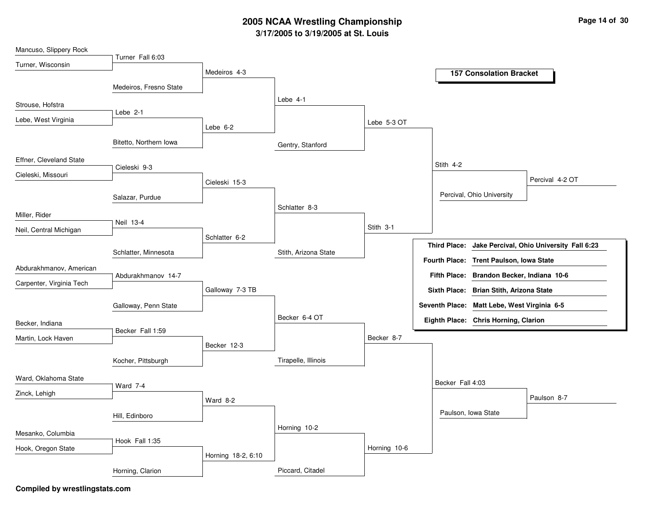| Mancuso, Slippery Rock   |                        |                    |                      |              |                     |                                             |                                          |
|--------------------------|------------------------|--------------------|----------------------|--------------|---------------------|---------------------------------------------|------------------------------------------|
| Turner, Wisconsin        | Turner Fall 6:03       |                    |                      |              |                     |                                             |                                          |
|                          |                        | Medeiros 4-3       |                      |              |                     | <b>157 Consolation Bracket</b>              |                                          |
|                          | Medeiros, Fresno State |                    |                      |              |                     |                                             |                                          |
| Strouse, Hofstra         |                        |                    | Lebe 4-1             |              |                     |                                             |                                          |
| Lebe, West Virginia      | Lebe 2-1               |                    |                      |              |                     |                                             |                                          |
|                          |                        | Lebe $6-2$         |                      | Lebe 5-3 OT  |                     |                                             |                                          |
|                          | Bitetto, Northern Iowa |                    | Gentry, Stanford     |              |                     |                                             |                                          |
| Effner, Cleveland State  |                        |                    |                      |              |                     |                                             |                                          |
| Cieleski, Missouri       | Cieleski 9-3           |                    |                      |              | Stith 4-2           |                                             |                                          |
|                          |                        | Cieleski 15-3      |                      |              |                     |                                             | Percival 4-2 OT                          |
|                          | Salazar, Purdue        |                    |                      |              |                     | Percival, Ohio University                   |                                          |
| Miller, Rider            |                        |                    | Schlatter 8-3        |              |                     |                                             |                                          |
|                          | Neil 13-4              |                    |                      | Stith 3-1    |                     |                                             |                                          |
| Neil, Central Michigan   |                        | Schlatter 6-2      |                      |              |                     |                                             |                                          |
|                          | Schlatter, Minnesota   |                    | Stith, Arizona State |              | <b>Third Place:</b> |                                             | Jake Percival, Ohio University Fall 6:23 |
| Abdurakhmanov, American  |                        |                    |                      |              |                     | Fourth Place: Trent Paulson, Iowa State     |                                          |
|                          | Abdurakhmanov 14-7     |                    |                      |              |                     | Fifth Place: Brandon Becker, Indiana 10-6   |                                          |
| Carpenter, Virginia Tech |                        | Galloway 7-3 TB    |                      |              |                     | Sixth Place: Brian Stith, Arizona State     |                                          |
|                          | Galloway, Penn State   |                    |                      |              |                     | Seventh Place: Matt Lebe, West Virginia 6-5 |                                          |
| Becker, Indiana          |                        |                    | Becker 6-4 OT        |              |                     | Eighth Place: Chris Horning, Clarion        |                                          |
|                          | Becker Fall 1:59       |                    |                      |              |                     |                                             |                                          |
| Martin, Lock Haven       |                        | Becker 12-3        |                      | Becker 8-7   |                     |                                             |                                          |
|                          | Kocher, Pittsburgh     |                    | Tirapelle, Illinois  |              |                     |                                             |                                          |
|                          |                        |                    |                      |              |                     |                                             |                                          |
| Ward, Oklahoma State     | Ward 7-4               |                    |                      |              | Becker Fall 4:03    |                                             |                                          |
| Zinck, Lehigh            |                        | Ward 8-2           |                      |              |                     |                                             | Paulson 8-7                              |
|                          | Hill, Edinboro         |                    |                      |              |                     | Paulson, Iowa State                         |                                          |
|                          |                        |                    | Horning 10-2         |              |                     |                                             |                                          |
| Mesanko, Columbia        | Hook Fall 1:35         |                    |                      |              |                     |                                             |                                          |
| Hook, Oregon State       |                        |                    |                      | Horning 10-6 |                     |                                             |                                          |
|                          |                        | Horning 18-2, 6:10 |                      |              |                     |                                             |                                          |
|                          | Horning, Clarion       |                    | Piccard, Citadel     |              |                     |                                             |                                          |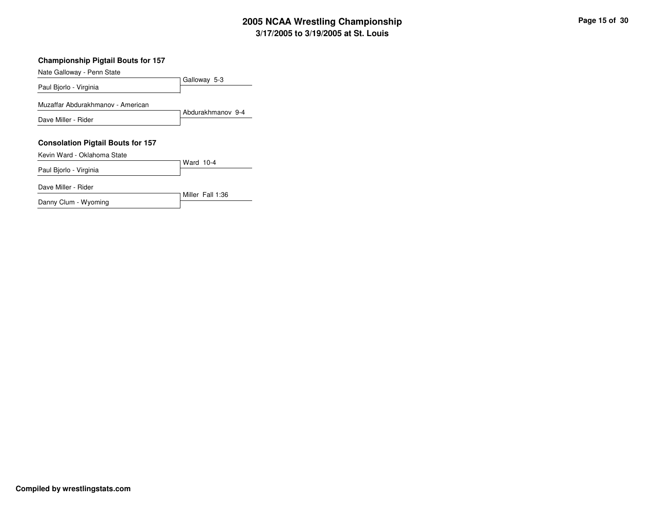#### **Championship Pigtail Bouts for 157**

| Nate Galloway - Penn State               |                   |
|------------------------------------------|-------------------|
|                                          | Galloway 5-3      |
| Paul Bjorlo - Virginia                   |                   |
| Muzaffar Abdurakhmanov - American        |                   |
|                                          | Abdurakhmanov 9-4 |
| Dave Miller - Rider                      |                   |
|                                          |                   |
|                                          |                   |
| <b>Consolation Pigtail Bouts for 157</b> |                   |
| Kevin Ward - Oklahoma State              |                   |
|                                          | Ward 10-4         |
| Paul Bjorlo - Virginia                   |                   |
| Dave Miller - Rider                      |                   |
| Danny Clum - Wyoming                     | Miller Fall 1:36  |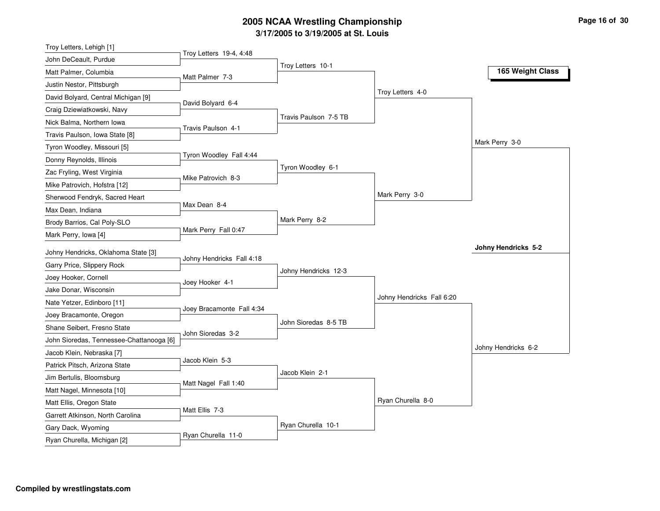| Troy Letters, Lehigh [1]                 |                           |                       |                           |                            |
|------------------------------------------|---------------------------|-----------------------|---------------------------|----------------------------|
| John DeCeault, Purdue                    | Troy Letters 19-4, 4:48   |                       |                           |                            |
| Matt Palmer, Columbia                    | Matt Palmer 7-3           | Troy Letters 10-1     |                           | 165 Weight Class           |
| Justin Nestor, Pittsburgh                |                           |                       |                           |                            |
| David Bolyard, Central Michigan [9]      |                           |                       | Troy Letters 4-0          |                            |
| Craig Dziewiatkowski, Navy               | David Bolyard 6-4         |                       |                           |                            |
| Nick Balma, Northern Iowa                |                           | Travis Paulson 7-5 TB |                           |                            |
| Travis Paulson, Iowa State [8]           | Travis Paulson 4-1        |                       |                           |                            |
| Tyron Woodley, Missouri [5]              |                           |                       |                           | Mark Perry 3-0             |
| Donny Reynolds, Illinois                 | Tyron Woodley Fall 4:44   |                       |                           |                            |
| Zac Fryling, West Virginia               |                           | Tyron Woodley 6-1     |                           |                            |
| Mike Patrovich, Hofstra [12]             | Mike Patrovich 8-3        |                       |                           |                            |
| Sherwood Fendryk, Sacred Heart           |                           |                       | Mark Perry 3-0            |                            |
| Max Dean, Indiana                        | Max Dean 8-4              |                       |                           |                            |
| Brody Barrios, Cal Poly-SLO              |                           | Mark Perry 8-2        |                           |                            |
| Mark Perry, Iowa [4]                     | Mark Perry Fall 0:47      |                       |                           |                            |
| Johny Hendricks, Oklahoma State [3]      |                           |                       |                           | <b>Johny Hendricks 5-2</b> |
| Garry Price, Slippery Rock               | Johny Hendricks Fall 4:18 |                       |                           |                            |
| Joey Hooker, Cornell                     |                           | Johny Hendricks 12-3  |                           |                            |
| Jake Donar, Wisconsin                    | Joey Hooker 4-1           |                       |                           |                            |
| Nate Yetzer, Edinboro [11]               |                           |                       | Johny Hendricks Fall 6:20 |                            |
| Joey Bracamonte, Oregon                  | Joey Bracamonte Fall 4:34 |                       |                           |                            |
| Shane Seibert, Fresno State              |                           | John Sioredas 8-5 TB  |                           |                            |
| John Sioredas, Tennessee-Chattanooga [6] | John Sioredas 3-2         |                       |                           |                            |
| Jacob Klein, Nebraska [7]                |                           |                       |                           | Johny Hendricks 6-2        |
| Patrick Pitsch, Arizona State            | Jacob Klein 5-3           |                       |                           |                            |
| Jim Bertulis, Bloomsburg                 |                           | Jacob Klein 2-1       |                           |                            |
| Matt Nagel, Minnesota [10]               | Matt Nagel Fall 1:40      |                       |                           |                            |
| Matt Ellis, Oregon State                 |                           |                       | Ryan Churella 8-0         |                            |
| Garrett Atkinson, North Carolina         |                           |                       |                           |                            |
|                                          | Matt Ellis 7-3            |                       |                           |                            |
| Gary Dack, Wyoming                       |                           | Ryan Churella 10-1    |                           |                            |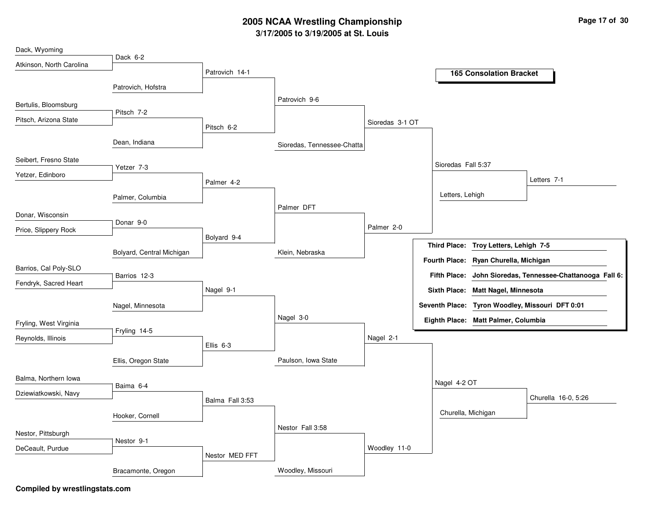| Dack, Wyoming            |                           |                 |                            |                 |                      |                     |                                     |                                                 |
|--------------------------|---------------------------|-----------------|----------------------------|-----------------|----------------------|---------------------|-------------------------------------|-------------------------------------------------|
| Atkinson, North Carolina | Dack 6-2                  |                 |                            |                 |                      |                     |                                     |                                                 |
|                          |                           | Patrovich 14-1  |                            |                 |                      |                     | <b>165 Consolation Bracket</b>      |                                                 |
|                          | Patrovich, Hofstra        |                 |                            |                 |                      |                     |                                     |                                                 |
| Bertulis, Bloomsburg     |                           |                 | Patrovich 9-6              |                 |                      |                     |                                     |                                                 |
| Pitsch, Arizona State    | Pitsch 7-2                |                 |                            | Sioredas 3-1 OT |                      |                     |                                     |                                                 |
|                          |                           | Pitsch 6-2      |                            |                 |                      |                     |                                     |                                                 |
|                          | Dean, Indiana             |                 | Sioredas, Tennessee-Chatta |                 |                      |                     |                                     |                                                 |
| Seibert, Fresno State    |                           |                 |                            |                 |                      |                     |                                     |                                                 |
| Yetzer, Edinboro         | Yetzer 7-3                |                 |                            |                 |                      | Sioredas Fall 5:37  |                                     |                                                 |
|                          |                           | Palmer 4-2      |                            |                 |                      |                     |                                     | Letters 7-1                                     |
|                          | Palmer, Columbia          |                 |                            |                 |                      | Letters, Lehigh     |                                     |                                                 |
| Donar, Wisconsin         |                           |                 | Palmer DFT                 |                 |                      |                     |                                     |                                                 |
|                          | Donar 9-0                 |                 |                            | Palmer 2-0      |                      |                     |                                     |                                                 |
| Price, Slippery Rock     |                           | Bolyard 9-4     |                            |                 |                      |                     |                                     |                                                 |
|                          | Bolyard, Central Michigan |                 | Klein, Nebraska            |                 | <b>Third Place:</b>  |                     | Troy Letters, Lehigh 7-5            |                                                 |
| Barrios, Cal Poly-SLO    |                           |                 |                            |                 | <b>Fourth Place:</b> |                     | Ryan Churella, Michigan             |                                                 |
|                          | Barrios 12-3              |                 |                            |                 |                      | <b>Fifth Place:</b> |                                     | John Sioredas, Tennessee-Chattanooga Fall 6:    |
| Fendryk, Sacred Heart    |                           | Nagel 9-1       |                            |                 |                      |                     | Sixth Place: Matt Nagel, Minnesota  |                                                 |
|                          | Nagel, Minnesota          |                 |                            |                 |                      |                     |                                     | Seventh Place: Tyron Woodley, Missouri DFT 0:01 |
|                          |                           |                 | Nagel 3-0                  |                 |                      |                     | Eighth Place: Matt Palmer, Columbia |                                                 |
| Fryling, West Virginia   | Fryling 14-5              |                 |                            |                 |                      |                     |                                     |                                                 |
| Reynolds, Illinois       |                           | Ellis 6-3       |                            | Nagel 2-1       |                      |                     |                                     |                                                 |
|                          | Ellis, Oregon State       |                 | Paulson, Iowa State        |                 |                      |                     |                                     |                                                 |
|                          |                           |                 |                            |                 |                      |                     |                                     |                                                 |
| Balma, Northern Iowa     | Baima 6-4                 |                 |                            |                 |                      | Nagel 4-2 OT        |                                     |                                                 |
| Dziewiatkowski, Navy     |                           | Balma Fall 3:53 |                            |                 |                      |                     |                                     | Churella 16-0, 5:26                             |
|                          |                           |                 |                            |                 |                      |                     | Churella, Michigan                  |                                                 |
|                          | Hooker, Cornell           |                 |                            |                 |                      |                     |                                     |                                                 |
| Nestor, Pittsburgh       |                           |                 | Nestor Fall 3:58           |                 |                      |                     |                                     |                                                 |
| DeCeault, Purdue         | Nestor 9-1                |                 |                            | Woodley 11-0    |                      |                     |                                     |                                                 |
|                          |                           | Nestor MED FFT  |                            |                 |                      |                     |                                     |                                                 |
|                          | Bracamonte, Oregon        |                 | Woodley, Missouri          |                 |                      |                     |                                     |                                                 |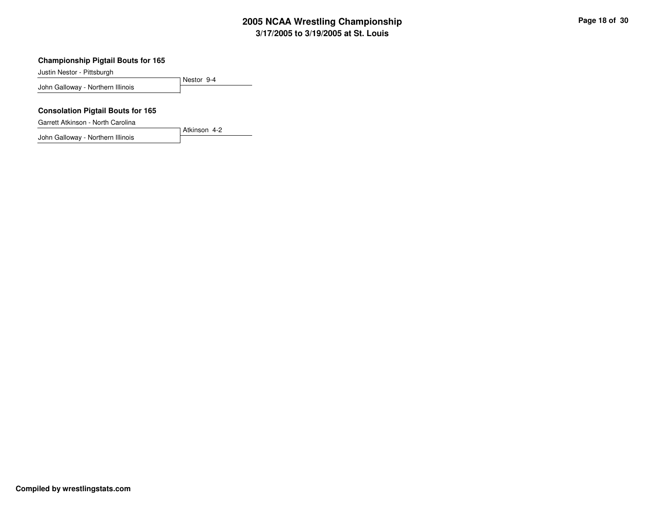#### **Championship Pigtail Bouts for 165**

Justin Nestor - Pittsburgh

Nestor 9-4John Galloway - Northern Illinois

#### **Consolation Pigtail Bouts for 165**

Garrett Atkinson - North Carolina

John Galloway - Northern Illinois

Atkinson 4-2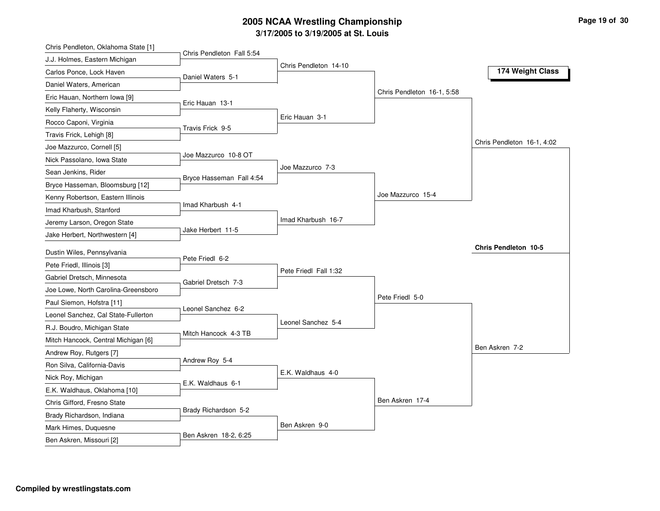| Chris Pendleton, Oklahoma State [1] |                           |                       |                            |                             |
|-------------------------------------|---------------------------|-----------------------|----------------------------|-----------------------------|
| J.J. Holmes, Eastern Michigan       | Chris Pendleton Fall 5:54 |                       |                            |                             |
| Carlos Ponce, Lock Haven            | Daniel Waters 5-1         | Chris Pendleton 14-10 |                            | 174 Weight Class            |
| Daniel Waters, American             |                           |                       |                            |                             |
| Eric Hauan, Northern Iowa [9]       |                           |                       | Chris Pendleton 16-1, 5:58 |                             |
| Kelly Flaherty, Wisconsin           | Eric Hauan 13-1           |                       |                            |                             |
| Rocco Caponi, Virginia              |                           | Eric Hauan 3-1        |                            |                             |
| Travis Frick, Lehigh [8]            | Travis Frick 9-5          |                       |                            |                             |
| Joe Mazzurco, Cornell [5]           |                           |                       |                            | Chris Pendleton 16-1, 4:02  |
| Nick Passolano, Iowa State          | Joe Mazzurco 10-8 OT      |                       |                            |                             |
| Sean Jenkins, Rider                 |                           | Joe Mazzurco 7-3      |                            |                             |
| Bryce Hasseman, Bloomsburg [12]     | Bryce Hasseman Fall 4:54  |                       |                            |                             |
| Kenny Robertson, Eastern Illinois   |                           |                       | Joe Mazzurco 15-4          |                             |
| Imad Kharbush, Stanford             | Imad Kharbush 4-1         |                       |                            |                             |
| Jeremy Larson, Oregon State         |                           | Imad Kharbush 16-7    |                            |                             |
| Jake Herbert, Northwestern [4]      | Jake Herbert 11-5         |                       |                            |                             |
| Dustin Wiles, Pennsylvania          |                           |                       |                            | <b>Chris Pendleton 10-5</b> |
| Pete Friedl, Illinois [3]           | Pete Friedl 6-2           |                       |                            |                             |
| Gabriel Dretsch, Minnesota          |                           | Pete Friedl Fall 1:32 |                            |                             |
| Joe Lowe, North Carolina-Greensboro | Gabriel Dretsch 7-3       |                       |                            |                             |
| Paul Siemon, Hofstra [11]           |                           |                       | Pete Friedl 5-0            |                             |
| Leonel Sanchez, Cal State-Fullerton | Leonel Sanchez 6-2        |                       |                            |                             |
| R.J. Boudro, Michigan State         |                           | Leonel Sanchez 5-4    |                            |                             |
| Mitch Hancock, Central Michigan [6] | Mitch Hancock 4-3 TB      |                       |                            |                             |
| Andrew Roy, Rutgers [7]             |                           |                       |                            | Ben Askren 7-2              |
| Ron Silva, California-Davis         | Andrew Roy 5-4            |                       |                            |                             |
| Nick Roy, Michigan                  |                           | E.K. Waldhaus 4-0     |                            |                             |
| E.K. Waldhaus, Oklahoma [10]        | E.K. Waldhaus 6-1         |                       |                            |                             |
| Chris Gifford, Fresno State         |                           |                       | Ben Askren 17-4            |                             |
| Brady Richardson, Indiana           | Brady Richardson 5-2      |                       |                            |                             |
|                                     |                           |                       |                            |                             |
| Mark Himes, Duquesne                |                           | Ben Askren 9-0        |                            |                             |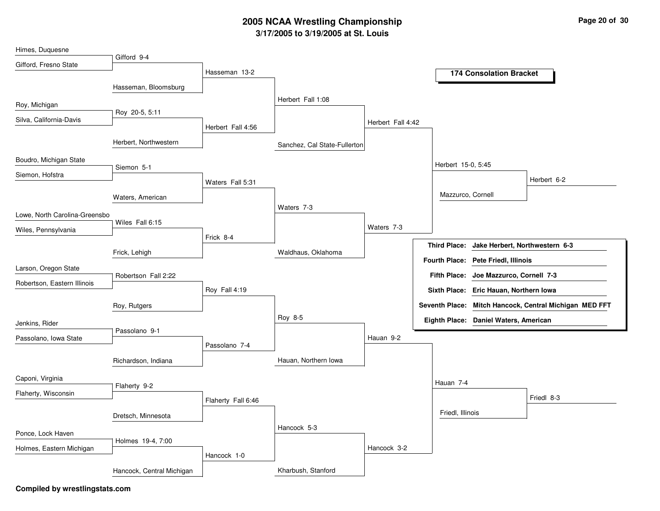| Himes, Duquesne               |                           |                    |                              |                   |                      |                                        |                                                        |
|-------------------------------|---------------------------|--------------------|------------------------------|-------------------|----------------------|----------------------------------------|--------------------------------------------------------|
| Gifford, Fresno State         | Gifford 9-4               | Hasseman 13-2      |                              |                   |                      | <b>174 Consolation Bracket</b>         |                                                        |
|                               |                           |                    |                              |                   |                      |                                        |                                                        |
|                               | Hasseman, Bloomsburg      |                    |                              |                   |                      |                                        |                                                        |
| Roy, Michigan                 |                           |                    | Herbert Fall 1:08            |                   |                      |                                        |                                                        |
| Silva, California-Davis       | Roy 20-5, 5:11            |                    |                              | Herbert Fall 4:42 |                      |                                        |                                                        |
|                               |                           | Herbert Fall 4:56  |                              |                   |                      |                                        |                                                        |
|                               | Herbert, Northwestern     |                    | Sanchez, Cal State-Fullerton |                   |                      |                                        |                                                        |
| Boudro, Michigan State        | Siemon 5-1                |                    |                              |                   | Herbert 15-0, 5:45   |                                        |                                                        |
| Siemon, Hofstra               |                           |                    |                              |                   |                      |                                        | Herbert 6-2                                            |
|                               |                           | Waters Fall 5:31   |                              |                   |                      |                                        |                                                        |
|                               | Waters, American          |                    |                              |                   |                      | Mazzurco, Cornell                      |                                                        |
| Lowe, North Carolina-Greensbo |                           |                    | Waters 7-3                   |                   |                      |                                        |                                                        |
| Wiles, Pennsylvania           | Wiles Fall 6:15           |                    |                              | Waters 7-3        |                      |                                        |                                                        |
|                               |                           | Frick 8-4          |                              |                   | <b>Third Place:</b>  | Jake Herbert, Northwestern 6-3         |                                                        |
|                               | Frick, Lehigh             |                    | Waldhaus, Oklahoma           |                   |                      |                                        |                                                        |
| Larson, Oregon State          |                           |                    |                              |                   | <b>Fourth Place:</b> | <b>Pete Friedl, Illinois</b>           |                                                        |
| Robertson, Eastern Illinois   | Robertson Fall 2:22       |                    |                              |                   | <b>Fifth Place:</b>  | Joe Mazzurco, Cornell 7-3              |                                                        |
|                               |                           | Roy Fall 4:19      |                              |                   |                      | Sixth Place: Eric Hauan, Northern Iowa |                                                        |
|                               | Roy, Rutgers              |                    |                              |                   |                      |                                        | Seventh Place: Mitch Hancock, Central Michigan MED FFT |
| Jenkins, Rider                |                           |                    | Roy 8-5                      |                   |                      | Eighth Place: Daniel Waters, American  |                                                        |
| Passolano, Iowa State         | Passolano 9-1             |                    |                              | Hauan 9-2         |                      |                                        |                                                        |
|                               |                           | Passolano 7-4      |                              |                   |                      |                                        |                                                        |
|                               | Richardson, Indiana       |                    | Hauan, Northern Iowa         |                   |                      |                                        |                                                        |
| Caponi, Virginia              |                           |                    |                              |                   |                      |                                        |                                                        |
|                               | Flaherty 9-2              |                    |                              |                   | Hauan 7-4            |                                        |                                                        |
| Flaherty, Wisconsin           |                           | Flaherty Fall 6:46 |                              |                   |                      |                                        | Friedl 8-3                                             |
|                               | Dretsch, Minnesota        |                    |                              |                   | Friedl, Illinois     |                                        |                                                        |
|                               |                           |                    | Hancock 5-3                  |                   |                      |                                        |                                                        |
| Ponce, Lock Haven             | Holmes 19-4, 7:00         |                    |                              |                   |                      |                                        |                                                        |
| Holmes, Eastern Michigan      |                           | Hancock 1-0        |                              | Hancock 3-2       |                      |                                        |                                                        |
|                               | Hancock, Central Michigan |                    | Kharbush, Stanford           |                   |                      |                                        |                                                        |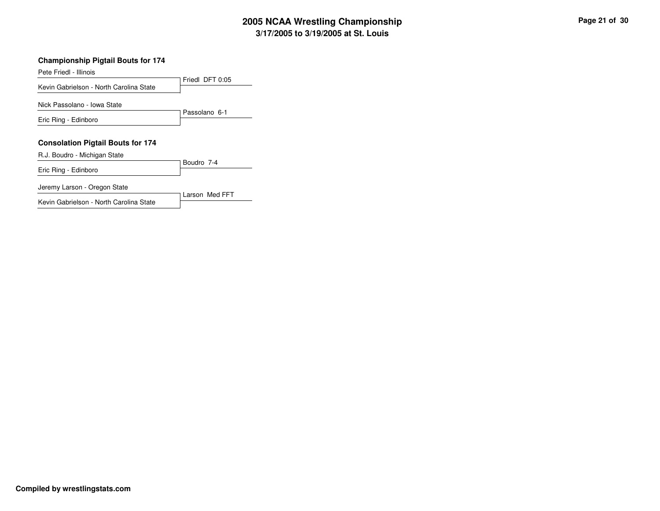#### **Championship Pigtail Bouts for 174**

Pete Friedl - Illinois

Friedl DFT 0:05Kevin Gabrielson - North Carolina StatePassolano 6-1Nick Passolano - Iowa StateEric Ring - Edinboro**Consolation Pigtail Bouts for 174**Boudro 7-4R.J. Boudro - Michigan StateEric Ring - Edinboro

Larson Med FFT

Jeremy Larson - Oregon State

Kevin Gabrielson - North Carolina State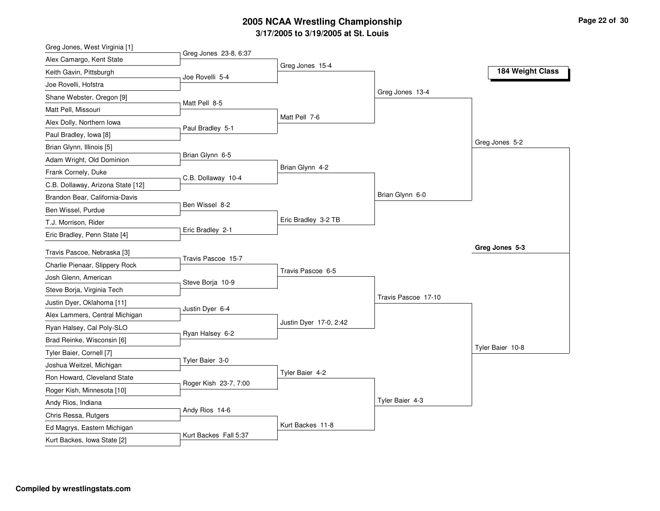| Greg Jones, West Virginia [1]     |                       |                        |                     |                  |
|-----------------------------------|-----------------------|------------------------|---------------------|------------------|
| Alex Camargo, Kent State          | Greg Jones 23-8, 6:37 |                        |                     |                  |
| Keith Gavin, Pittsburgh           | Joe Rovelli 5-4       | Greg Jones 15-4        |                     | 184 Weight Class |
| Joe Rovelli, Hofstra              |                       |                        |                     |                  |
| Shane Webster, Oregon [9]         |                       |                        | Greg Jones 13-4     |                  |
| Matt Pell, Missouri               | Matt Pell 8-5         |                        |                     |                  |
| Alex Dolly, Northern Iowa         |                       | Matt Pell 7-6          |                     |                  |
| Paul Bradley, Iowa [8]            | Paul Bradley 5-1      |                        |                     |                  |
| Brian Glynn, Illinois [5]         |                       |                        |                     | Greg Jones 5-2   |
| Adam Wright, Old Dominion         | Brian Glynn 6-5       |                        |                     |                  |
| Frank Cornely, Duke               |                       | Brian Glynn 4-2        |                     |                  |
| C.B. Dollaway, Arizona State [12] | C.B. Dollaway 10-4    |                        |                     |                  |
| Brandon Bear, California-Davis    |                       |                        | Brian Glynn 6-0     |                  |
| Ben Wissel, Purdue                | Ben Wissel 8-2        |                        |                     |                  |
| T.J. Morrison, Rider              |                       | Eric Bradley 3-2 TB    |                     |                  |
| Eric Bradley, Penn State [4]      | Eric Bradley 2-1      |                        |                     |                  |
| Travis Pascoe, Nebraska [3]       |                       |                        |                     | Greg Jones 5-3   |
| Charlie Pienaar, Slippery Rock    | Travis Pascoe 15-7    |                        |                     |                  |
| Josh Glenn, American              |                       | Travis Pascoe 6-5      |                     |                  |
| Steve Borja, Virginia Tech        | Steve Borja 10-9      |                        |                     |                  |
| Justin Dyer, Oklahoma [11]        |                       |                        | Travis Pascoe 17-10 |                  |
| Alex Lammers, Central Michigan    | Justin Dyer 6-4       |                        |                     |                  |
| Ryan Halsey, Cal Poly-SLO         |                       | Justin Dyer 17-0, 2:42 |                     |                  |
| Brad Reinke, Wisconsin [6]        | Ryan Halsey 6-2       |                        |                     |                  |
| Tyler Baier, Cornell [7]          |                       |                        |                     | Tyler Baier 10-8 |
| Joshua Weitzel, Michigan          | Tyler Baier 3-0       |                        |                     |                  |
| Ron Howard, Cleveland State       |                       | Tyler Baier 4-2        |                     |                  |
|                                   | Roger Kish 23-7, 7:00 |                        |                     |                  |
| Roger Kish, Minnesota [10]        |                       |                        | Tyler Baier 4-3     |                  |
| Andy Rios, Indiana                | Andy Rios 14-6        |                        |                     |                  |
| Chris Ressa, Rutgers              |                       | Kurt Backes 11-8       |                     |                  |
| Ed Magrys, Eastern Michigan       | Kurt Backes Fall 5:37 |                        |                     |                  |
| Kurt Backes, Iowa State [2]       |                       |                        |                     |                  |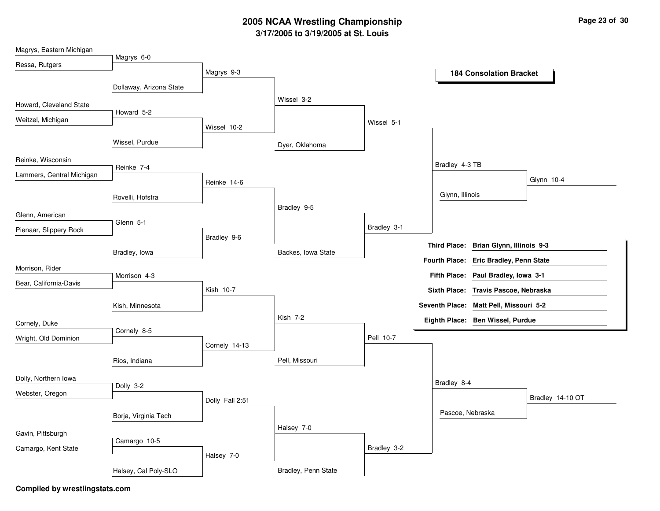| Magrys, Eastern Michigan  |                         |                 |                     |             |                                                  |
|---------------------------|-------------------------|-----------------|---------------------|-------------|--------------------------------------------------|
| Ressa, Rutgers            | Magrys 6-0              |                 |                     |             |                                                  |
|                           |                         | Magrys 9-3      |                     |             | <b>184 Consolation Bracket</b>                   |
|                           | Dollaway, Arizona State |                 |                     |             |                                                  |
| Howard, Cleveland State   |                         |                 | Wissel 3-2          |             |                                                  |
| Weitzel, Michigan         | Howard 5-2              |                 |                     |             |                                                  |
|                           |                         | Wissel 10-2     |                     | Wissel 5-1  |                                                  |
|                           | Wissel, Purdue          |                 | Dyer, Oklahoma      |             |                                                  |
| Reinke, Wisconsin         |                         |                 |                     |             | Bradley 4-3 TB                                   |
| Lammers, Central Michigan | Reinke 7-4              |                 |                     |             | Glynn 10-4                                       |
|                           |                         | Reinke 14-6     |                     |             |                                                  |
|                           | Rovelli, Hofstra        |                 |                     |             | Glynn, Illinois                                  |
| Glenn, American           |                         |                 | Bradley 9-5         |             |                                                  |
| Pienaar, Slippery Rock    | Glenn 5-1               |                 |                     | Bradley 3-1 |                                                  |
|                           |                         | Bradley 9-6     |                     |             | <b>Third Place:</b><br>Brian Glynn, Illinois 9-3 |
|                           | Bradley, lowa           |                 | Backes, Iowa State  |             |                                                  |
| Morrison, Rider           |                         |                 |                     |             | Fourth Place: Eric Bradley, Penn State           |
| Bear, California-Davis    | Morrison 4-3            |                 |                     |             | Fifth Place: Paul Bradley, Iowa 3-1              |
|                           |                         | Kish 10-7       |                     |             | Sixth Place: Travis Pascoe, Nebraska             |
|                           | Kish, Minnesota         |                 |                     |             | Seventh Place: Matt Pell, Missouri 5-2           |
| Cornely, Duke             |                         |                 | Kish 7-2            |             | Eighth Place: Ben Wissel, Purdue                 |
|                           | Cornely 8-5             |                 |                     | Pell 10-7   |                                                  |
| Wright, Old Dominion      |                         | Cornely 14-13   |                     |             |                                                  |
|                           | Rios, Indiana           |                 | Pell, Missouri      |             |                                                  |
| Dolly, Northern Iowa      |                         |                 |                     |             |                                                  |
| Webster, Oregon           | Dolly 3-2               |                 |                     |             | Bradley 8-4                                      |
|                           |                         | Dolly Fall 2:51 |                     |             | Bradley 14-10 OT                                 |
|                           | Borja, Virginia Tech    |                 |                     |             | Pascoe, Nebraska                                 |
| Gavin, Pittsburgh         |                         |                 | Halsey 7-0          |             |                                                  |
|                           | Camargo 10-5            |                 |                     | Bradley 3-2 |                                                  |
| Camargo, Kent State       |                         | Halsey 7-0      |                     |             |                                                  |
|                           | Halsey, Cal Poly-SLO    |                 | Bradley, Penn State |             |                                                  |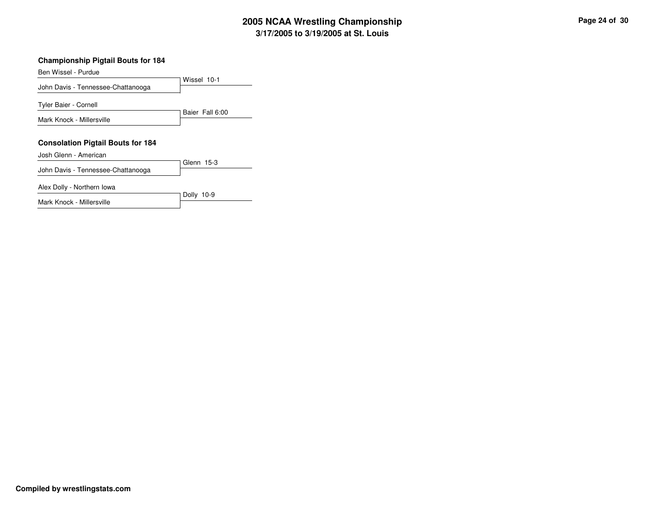#### **Championship Pigtail Bouts for 184**

Ben Wissel - Purdue

Wissel 10-1John Davis - Tennessee-ChattanoogaBaier Fall 6:00Tyler Baier - Cornell Mark Knock - Millersville**Consolation Pigtail Bouts for 184**Glenn 15-3Josh Glenn - American

Dolly 10-9

John Davis - Tennessee-Chattanooga

Alex Dolly - Northern Iowa

Mark Knock - Millersville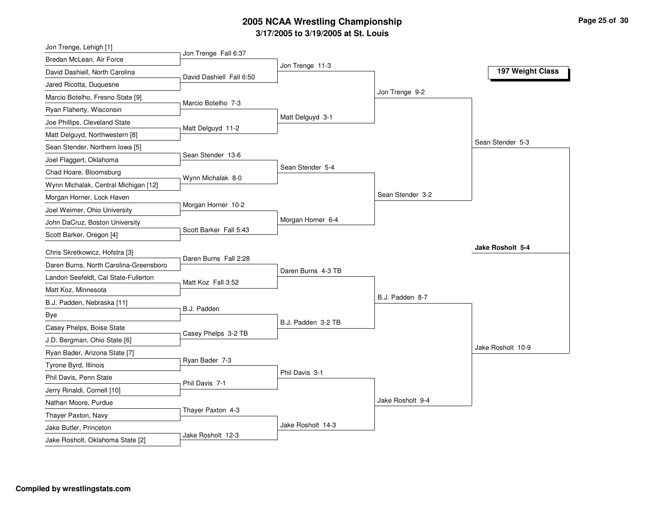| Jon Trenge Fall 6:37<br>Bredan McLean, Air Force<br>Jon Trenge 11-3<br>197 Weight Class<br>David Dashiell, North Carolina<br>David Dashiell Fall 6:50<br>Jared Ricotta, Duquesne<br>Jon Trenge 9-2<br>Marcio Botelho, Fresno State [9]<br>Marcio Botelho 7-3<br>Ryan Flaherty, Wisconsin<br>Matt Delguyd 3-1<br>Joe Phillips, Cleveland State<br>Matt Delguyd 11-2<br>Matt Delguyd, Northwestern [8]<br>Sean Stender 5-3<br>Sean Stender, Northern Iowa [5]<br>Sean Stender 13-6<br>Joel Flaggert, Oklahoma<br>Sean Stender 5-4<br>Chad Hoare, Bloomsburg<br>Wynn Michalak 8-0<br>Wynn Michalak, Central Michigan [12]<br>Sean Stender 3-2<br>Morgan Horner, Lock Haven<br>Morgan Horner 10-2<br>Joel Weimer, Ohio University<br>Morgan Horner 6-4<br>John DaCruz, Boston University<br>Scott Barker Fall 5:43<br>Scott Barker, Oregon [4] |
|--------------------------------------------------------------------------------------------------------------------------------------------------------------------------------------------------------------------------------------------------------------------------------------------------------------------------------------------------------------------------------------------------------------------------------------------------------------------------------------------------------------------------------------------------------------------------------------------------------------------------------------------------------------------------------------------------------------------------------------------------------------------------------------------------------------------------------------------|
|                                                                                                                                                                                                                                                                                                                                                                                                                                                                                                                                                                                                                                                                                                                                                                                                                                            |
|                                                                                                                                                                                                                                                                                                                                                                                                                                                                                                                                                                                                                                                                                                                                                                                                                                            |
|                                                                                                                                                                                                                                                                                                                                                                                                                                                                                                                                                                                                                                                                                                                                                                                                                                            |
|                                                                                                                                                                                                                                                                                                                                                                                                                                                                                                                                                                                                                                                                                                                                                                                                                                            |
|                                                                                                                                                                                                                                                                                                                                                                                                                                                                                                                                                                                                                                                                                                                                                                                                                                            |
|                                                                                                                                                                                                                                                                                                                                                                                                                                                                                                                                                                                                                                                                                                                                                                                                                                            |
|                                                                                                                                                                                                                                                                                                                                                                                                                                                                                                                                                                                                                                                                                                                                                                                                                                            |
|                                                                                                                                                                                                                                                                                                                                                                                                                                                                                                                                                                                                                                                                                                                                                                                                                                            |
|                                                                                                                                                                                                                                                                                                                                                                                                                                                                                                                                                                                                                                                                                                                                                                                                                                            |
|                                                                                                                                                                                                                                                                                                                                                                                                                                                                                                                                                                                                                                                                                                                                                                                                                                            |
|                                                                                                                                                                                                                                                                                                                                                                                                                                                                                                                                                                                                                                                                                                                                                                                                                                            |
|                                                                                                                                                                                                                                                                                                                                                                                                                                                                                                                                                                                                                                                                                                                                                                                                                                            |
|                                                                                                                                                                                                                                                                                                                                                                                                                                                                                                                                                                                                                                                                                                                                                                                                                                            |
|                                                                                                                                                                                                                                                                                                                                                                                                                                                                                                                                                                                                                                                                                                                                                                                                                                            |
|                                                                                                                                                                                                                                                                                                                                                                                                                                                                                                                                                                                                                                                                                                                                                                                                                                            |
| Jake Rosholt 5-4<br>Chris Skretkowicz, Hofstra [3]                                                                                                                                                                                                                                                                                                                                                                                                                                                                                                                                                                                                                                                                                                                                                                                         |
| Daren Burns Fall 2:28<br>Daren Burns, North Carolina-Greensboro                                                                                                                                                                                                                                                                                                                                                                                                                                                                                                                                                                                                                                                                                                                                                                            |
| Daren Burns 4-3 TB<br>Landon Seefeldt, Cal State-Fullerton                                                                                                                                                                                                                                                                                                                                                                                                                                                                                                                                                                                                                                                                                                                                                                                 |
| Matt Koz Fall 3:52<br>Matt Koz, Minnesota                                                                                                                                                                                                                                                                                                                                                                                                                                                                                                                                                                                                                                                                                                                                                                                                  |
| B.J. Padden 8-7<br>B.J. Padden, Nebraska [11]                                                                                                                                                                                                                                                                                                                                                                                                                                                                                                                                                                                                                                                                                                                                                                                              |
| B.J. Padden<br>Bye                                                                                                                                                                                                                                                                                                                                                                                                                                                                                                                                                                                                                                                                                                                                                                                                                         |
| B.J. Padden 3-2 TB<br>Casey Phelps, Boise State                                                                                                                                                                                                                                                                                                                                                                                                                                                                                                                                                                                                                                                                                                                                                                                            |
| Casey Phelps 3-2 TB<br>J.D. Bergman, Ohio State [6]                                                                                                                                                                                                                                                                                                                                                                                                                                                                                                                                                                                                                                                                                                                                                                                        |
| Jake Rosholt 10-9<br>Ryan Bader, Arizona State [7]                                                                                                                                                                                                                                                                                                                                                                                                                                                                                                                                                                                                                                                                                                                                                                                         |
| Ryan Bader 7-3                                                                                                                                                                                                                                                                                                                                                                                                                                                                                                                                                                                                                                                                                                                                                                                                                             |
| Tyrone Byrd, Illinois<br>Phil Davis 3-1<br>Phil Davis, Penn State                                                                                                                                                                                                                                                                                                                                                                                                                                                                                                                                                                                                                                                                                                                                                                          |
| Phil Davis 7-1                                                                                                                                                                                                                                                                                                                                                                                                                                                                                                                                                                                                                                                                                                                                                                                                                             |
| Jerry Rinaldi, Cornell [10]<br>Jake Rosholt 9-4                                                                                                                                                                                                                                                                                                                                                                                                                                                                                                                                                                                                                                                                                                                                                                                            |
| Nathan Moore, Purdue<br>Thayer Paxton 4-3                                                                                                                                                                                                                                                                                                                                                                                                                                                                                                                                                                                                                                                                                                                                                                                                  |
| Thayer Paxton, Navy<br>Jake Rosholt 14-3                                                                                                                                                                                                                                                                                                                                                                                                                                                                                                                                                                                                                                                                                                                                                                                                   |
| Jake Butler, Princeton<br>Jake Rosholt 12-3<br>Jake Rosholt, Oklahoma State [2]                                                                                                                                                                                                                                                                                                                                                                                                                                                                                                                                                                                                                                                                                                                                                            |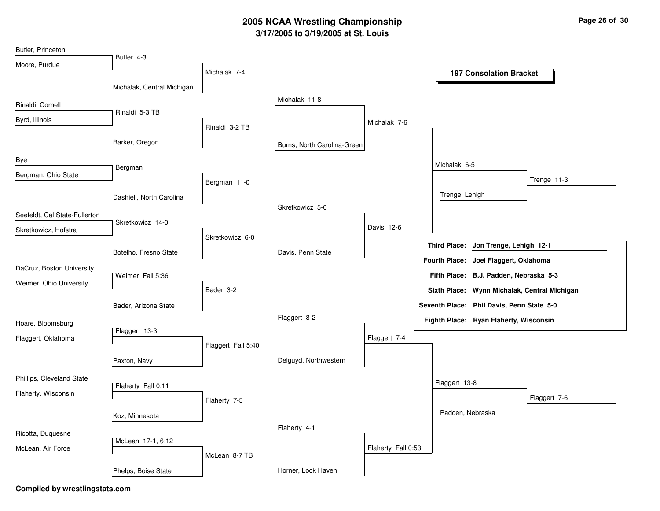| Butler, Princeton             |                            |                    |                             |                    |                                                |
|-------------------------------|----------------------------|--------------------|-----------------------------|--------------------|------------------------------------------------|
| Moore, Purdue                 | Butler 4-3                 |                    |                             |                    |                                                |
|                               |                            | Michalak 7-4       |                             |                    | <b>197 Consolation Bracket</b>                 |
|                               | Michalak, Central Michigan |                    |                             |                    |                                                |
| Rinaldi, Cornell              |                            |                    | Michalak 11-8               |                    |                                                |
|                               | Rinaldi 5-3 TB             |                    |                             |                    |                                                |
| Byrd, Illinois                |                            | Rinaldi 3-2 TB     |                             | Michalak 7-6       |                                                |
|                               | Barker, Oregon             |                    | Burns, North Carolina-Green |                    |                                                |
| Bye                           | Bergman                    |                    |                             |                    | Michalak 6-5                                   |
| Bergman, Ohio State           |                            |                    |                             |                    | Trenge 11-3                                    |
|                               |                            | Bergman 11-0       |                             |                    |                                                |
|                               | Dashiell, North Carolina   |                    | Skretkowicz 5-0             |                    | Trenge, Lehigh                                 |
| Seefeldt, Cal State-Fullerton |                            |                    |                             |                    |                                                |
| Skretkowicz, Hofstra          | Skretkowicz 14-0           |                    |                             | Davis 12-6         |                                                |
|                               |                            | Skretkowicz 6-0    |                             |                    | Jon Trenge, Lehigh 12-1<br><b>Third Place:</b> |
|                               | Botelho, Fresno State      |                    | Davis, Penn State           |                    |                                                |
| DaCruz, Boston University     |                            |                    |                             |                    | Fourth Place: Joel Flaggert, Oklahoma          |
| Weimer, Ohio University       | Weimer Fall 5:36           |                    |                             |                    | Fifth Place: B.J. Padden, Nebraska 5-3         |
|                               |                            | Bader 3-2          |                             |                    | Sixth Place: Wynn Michalak, Central Michigan   |
|                               | Bader, Arizona State       |                    |                             |                    | Seventh Place: Phil Davis, Penn State 5-0      |
| Hoare, Bloomsburg             |                            |                    | Flaggert 8-2                |                    | Eighth Place: Ryan Flaherty, Wisconsin         |
|                               | Flaggert 13-3              |                    |                             | Flaggert 7-4       |                                                |
| Flaggert, Oklahoma            |                            | Flaggert Fall 5:40 |                             |                    |                                                |
|                               | Paxton, Navy               |                    | Delguyd, Northwestern       |                    |                                                |
|                               |                            |                    |                             |                    |                                                |
| Phillips, Cleveland State     | Flaherty Fall 0:11         |                    |                             |                    | Flaggert 13-8                                  |
| Flaherty, Wisconsin           |                            | Flaherty 7-5       |                             |                    | Flaggert 7-6                                   |
|                               | Koz, Minnesota             |                    |                             |                    | Padden, Nebraska                               |
|                               |                            |                    | Flaherty 4-1                |                    |                                                |
| Ricotta, Duquesne             | McLean 17-1, 6:12          |                    |                             |                    |                                                |
| McLean, Air Force             |                            | McLean 8-7 TB      |                             | Flaherty Fall 0:53 |                                                |
|                               |                            |                    |                             |                    |                                                |
|                               | Phelps, Boise State        |                    | Horner, Lock Haven          |                    |                                                |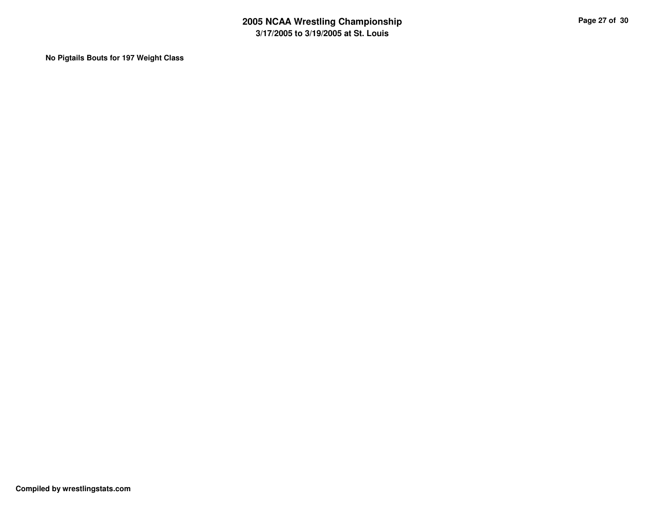**No Pigtails Bouts for 197 Weight Class**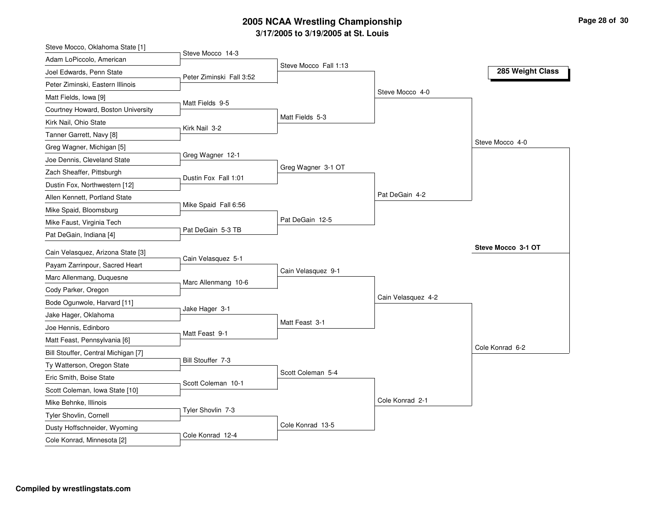| Steve Mocco, Oklahoma State [1]                               |                          |                       |                    |                    |
|---------------------------------------------------------------|--------------------------|-----------------------|--------------------|--------------------|
| Adam LoPiccolo, American                                      | Steve Mocco 14-3         | Steve Mocco Fall 1:13 |                    |                    |
| Joel Edwards, Penn State                                      | Peter Ziminski Fall 3:52 |                       |                    | 285 Weight Class   |
| Peter Ziminski, Eastern Illinois                              |                          |                       |                    |                    |
| Matt Fields, Iowa [9]                                         | Matt Fields 9-5          |                       | Steve Mocco 4-0    |                    |
| Courtney Howard, Boston University                            |                          |                       |                    |                    |
| Kirk Nail, Ohio State                                         |                          | Matt Fields 5-3       |                    |                    |
| Tanner Garrett, Navy [8]                                      | Kirk Nail 3-2            |                       |                    |                    |
| Greg Wagner, Michigan [5]                                     |                          |                       |                    | Steve Mocco 4-0    |
| Joe Dennis, Cleveland State                                   | Greg Wagner 12-1         |                       |                    |                    |
| Zach Sheaffer, Pittsburgh                                     | Dustin Fox Fall 1:01     | Greg Wagner 3-1 OT    |                    |                    |
| Dustin Fox, Northwestern [12]                                 |                          |                       |                    |                    |
| Allen Kennett, Portland State                                 |                          |                       | Pat DeGain 4-2     |                    |
| Mike Spaid, Bloomsburg                                        | Mike Spaid Fall 6:56     |                       |                    |                    |
| Mike Faust, Virginia Tech                                     |                          | Pat DeGain 12-5       |                    |                    |
| Pat DeGain, Indiana [4]                                       | Pat DeGain 5-3 TB        |                       |                    |                    |
| Cain Velasquez, Arizona State [3]                             |                          |                       |                    | Steve Mocco 3-1 OT |
| Payam Zarrinpour, Sacred Heart                                | Cain Velasquez 5-1       |                       |                    |                    |
| Marc Allenmang, Duquesne                                      |                          | Cain Velasquez 9-1    |                    |                    |
| Cody Parker, Oregon                                           | Marc Allenmang 10-6      |                       |                    |                    |
| Bode Ogunwole, Harvard [11]                                   |                          |                       | Cain Velasquez 4-2 |                    |
| Jake Hager, Oklahoma                                          | Jake Hager 3-1           |                       |                    |                    |
| Joe Hennis, Edinboro                                          |                          | Matt Feast 3-1        |                    |                    |
| Matt Feast, Pennsylvania [6]                                  | Matt Feast 9-1           |                       |                    |                    |
| Bill Stouffer, Central Michigan [7]                           |                          |                       |                    | Cole Konrad 6-2    |
|                                                               |                          |                       |                    |                    |
|                                                               | Bill Stouffer 7-3        |                       |                    |                    |
| Ty Watterson, Oregon State                                    |                          | Scott Coleman 5-4     |                    |                    |
| Eric Smith, Boise State                                       | Scott Coleman 10-1       |                       |                    |                    |
| Scott Coleman, Iowa State [10]                                |                          |                       | Cole Konrad 2-1    |                    |
| Mike Behnke, Illinois                                         | Tyler Shovlin 7-3        |                       |                    |                    |
| <b>Tyler Shovlin, Cornell</b><br>Dusty Hoffschneider, Wyoming |                          | Cole Konrad 13-5      |                    |                    |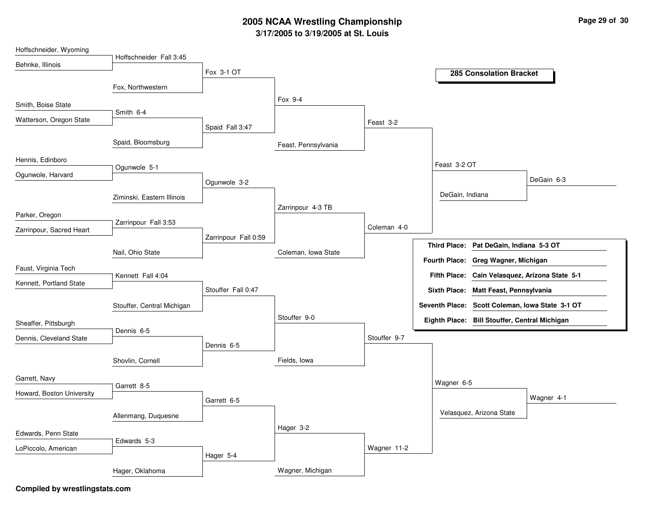| Hoffschneider, Wyoming    |                            |                      |                     |              |                 |                                               |                                                 |
|---------------------------|----------------------------|----------------------|---------------------|--------------|-----------------|-----------------------------------------------|-------------------------------------------------|
| Behnke, Illinois          | Hoffschneider Fall 3:45    |                      |                     |              |                 |                                               |                                                 |
|                           |                            | Fox 3-1 OT           |                     |              |                 | <b>285 Consolation Bracket</b>                |                                                 |
|                           | Fox, Northwestern          |                      |                     |              |                 |                                               |                                                 |
| Smith, Boise State        |                            |                      | Fox 9-4             |              |                 |                                               |                                                 |
| Watterson, Oregon State   | Smith 6-4                  |                      |                     | Feast 3-2    |                 |                                               |                                                 |
|                           |                            | Spaid Fall 3:47      |                     |              |                 |                                               |                                                 |
|                           | Spaid, Bloomsburg          |                      | Feast, Pennsylvania |              |                 |                                               |                                                 |
| Hennis, Edinboro          |                            |                      |                     |              |                 |                                               |                                                 |
| Ogunwole, Harvard         | Ogunwole 5-1               |                      |                     |              | Feast 3-2 OT    |                                               |                                                 |
|                           |                            | Ogunwole 3-2         |                     |              |                 |                                               | DeGain 6-3                                      |
|                           | Ziminski, Eastern Illinois |                      |                     |              | DeGain, Indiana |                                               |                                                 |
| Parker, Oregon            |                            |                      | Zarrinpour 4-3 TB   |              |                 |                                               |                                                 |
| Zarrinpour, Sacred Heart  | Zarrinpour Fall 3:53       |                      |                     | Coleman 4-0  |                 |                                               |                                                 |
|                           |                            | Zarrinpour Fall 0:59 |                     |              |                 |                                               |                                                 |
|                           | Nail, Ohio State           |                      | Coleman, Iowa State |              |                 | Third Place: Pat DeGain, Indiana 5-3 OT       |                                                 |
| Faust, Virginia Tech      |                            |                      |                     |              |                 | Fourth Place: Greg Wagner, Michigan           |                                                 |
| Kennett, Portland State   | Kennett Fall 4:04          |                      |                     |              |                 |                                               | Fifth Place: Cain Velasquez, Arizona State 5-1  |
|                           |                            | Stouffer Fall 0:47   |                     |              |                 | Sixth Place: Matt Feast, Pennsylvania         |                                                 |
|                           | Stouffer, Central Michigan |                      |                     |              |                 |                                               | Seventh Place: Scott Coleman, Iowa State 3-1 OT |
| Sheaffer, Pittsburgh      |                            |                      | Stouffer 9-0        |              |                 | Eighth Place: Bill Stouffer, Central Michigan |                                                 |
| Dennis, Cleveland State   | Dennis 6-5                 |                      |                     | Stouffer 9-7 |                 |                                               |                                                 |
|                           |                            | Dennis 6-5           |                     |              |                 |                                               |                                                 |
|                           | Shovlin, Cornell           |                      | Fields, lowa        |              |                 |                                               |                                                 |
| Garrett, Navy             |                            |                      |                     |              |                 |                                               |                                                 |
|                           | Garrett 8-5                |                      |                     |              | Wagner 6-5      |                                               |                                                 |
| Howard, Boston University |                            | Garrett 6-5          |                     |              |                 |                                               | Wagner 4-1                                      |
|                           | Allenmang, Duquesne        |                      |                     |              |                 | Velasquez, Arizona State                      |                                                 |
|                           |                            |                      | Hager 3-2           |              |                 |                                               |                                                 |
| Edwards, Penn State       | Edwards 5-3                |                      |                     |              |                 |                                               |                                                 |
| LoPiccolo, American       |                            | Hager 5-4            |                     | Wagner 11-2  |                 |                                               |                                                 |
|                           | Hager, Oklahoma            |                      | Wagner, Michigan    |              |                 |                                               |                                                 |
|                           |                            |                      |                     |              |                 |                                               |                                                 |